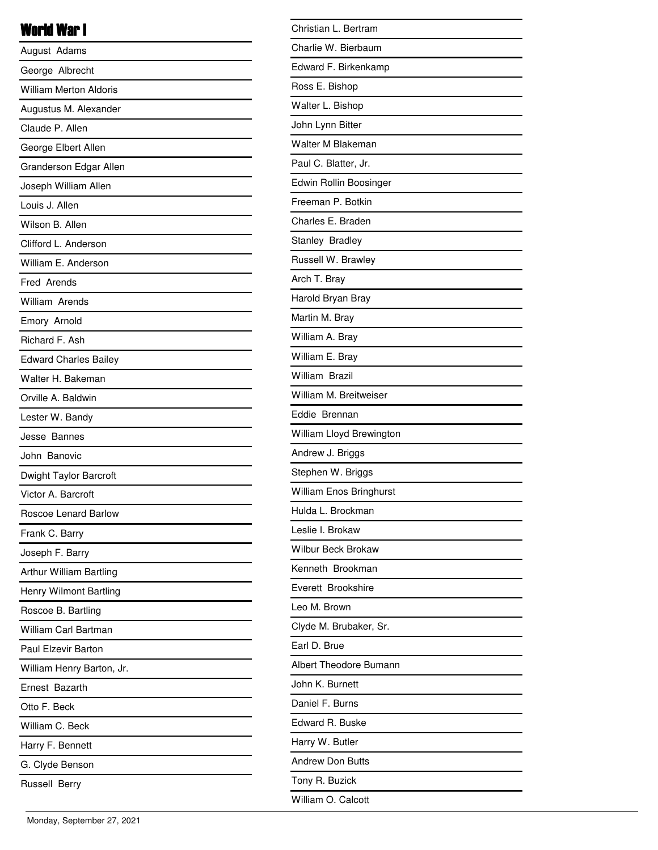## World War I

| August Adams                  |
|-------------------------------|
| George Albrecht               |
| <b>William Merton Aldoris</b> |
| Augustus M. Alexander         |
| Claude P. Allen               |
| George Elbert Allen           |
| Granderson Edgar Allen        |
| Joseph William Allen          |
| Louis J. Allen                |
| Wilson B. Allen               |
| Clifford L. Anderson          |
| William E. Anderson           |
| Fred Arends                   |
| William Arends                |
| Emory Arnold                  |
| Richard F. Ash                |
| <b>Edward Charles Bailey</b>  |
| Walter H. Bakeman             |
| Orville A. Baldwin            |
| Lester W. Bandy               |
| Jesse Bannes                  |
| John Banovic                  |
| Dwight Taylor Barcroft        |
| Victor A. Barcroft            |
| Roscoe Lenard Barlow          |
| Frank C. Barry                |
| Joseph F. Barry               |
| Arthur William Bartling       |
| Henry Wilmont Bartling        |
| Roscoe B. Bartling            |
| <b>William Carl Bartman</b>   |
| Paul Elzevir Barton           |
| William Henry Barton, Jr.     |
| Ernest Bazarth                |
| Otto F. Beck                  |
| William C. Beck               |
| Harry F. Bennett              |
| G. Clyde Benson               |
| Russell Berry                 |

| Christian L. Bertram      |
|---------------------------|
| Charlie W. Bierbaum       |
| Edward F. Birkenkamp      |
| Ross E. Bishop            |
| Walter L. Bishop          |
| John Lynn Bitter          |
| Walter M Blakeman         |
| Paul C. Blatter, Jr.      |
| Edwin Rollin Boosinger    |
| Freeman P. Botkin         |
| Charles E. Braden         |
| Stanley Bradley           |
| Russell W. Brawley        |
| Arch T. Bray              |
| Harold Bryan Bray         |
| Martin M. Bray            |
| William A. Bray           |
| William E. Bray           |
| William Brazil            |
| William M. Breitweiser    |
| Eddie Brennan             |
| William Lloyd Brewington  |
| Andrew J. Briggs          |
| Stephen W. Briggs         |
| William Enos Bringhurst   |
| Hulda L. Brockman         |
| Leslie I. Brokaw          |
| <b>Wilbur Beck Brokaw</b> |
| Kenneth Brookman          |
| Everett Brookshire        |
| Leo M. Brown              |
| Clyde M. Brubaker, Sr.    |
| Earl D. Brue              |
| Albert Theodore Bumann    |
| John K. Burnett           |
| Daniel F. Burns           |
| Edward R. Buske           |
| Harry W. Butler           |
| <b>Andrew Don Butts</b>   |
| Tony R. Buzick            |
| William O. Calcott        |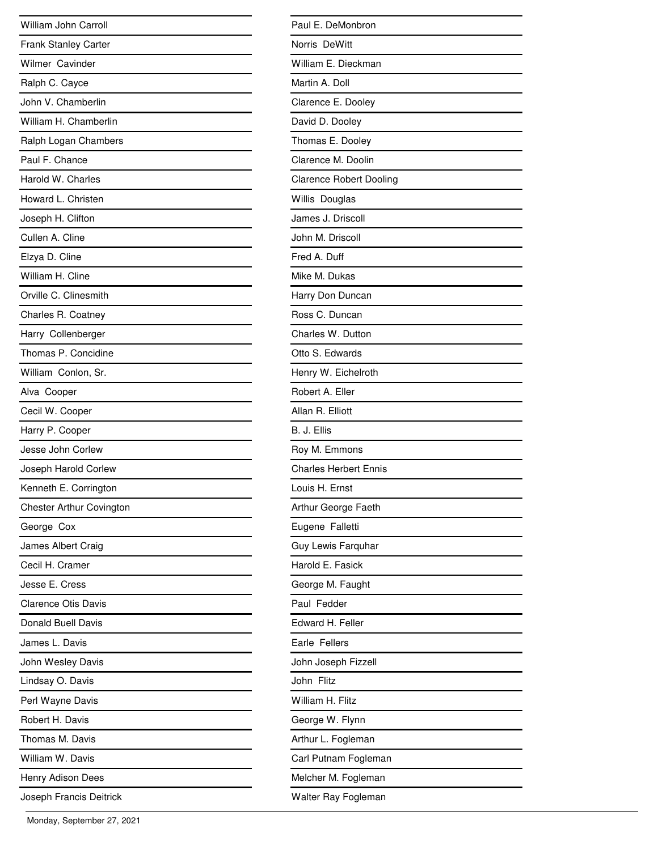| William John Carroll       |
|----------------------------|
| Frank Stanley Carter       |
| Wilmer Cavinder            |
| Ralph C. Cayce             |
| John V. Chamberlin         |
| William H. Chamberlin      |
| Ralph Logan Chambers       |
| Paul F. Chance             |
| Harold W. Charles          |
| Howard L. Christen         |
| Joseph H. Clifton          |
| Cullen A. Cline            |
| Elzya D. Cline             |
| William H. Cline           |
| Orville C. Clinesmith      |
| Charles R. Coatney         |
| Harry Collenberger         |
| Thomas P. Concidine        |
| William Conlon, Sr.        |
| Alva Cooper                |
| Cecil W. Cooper            |
| Harry P. Cooper            |
| Jesse John Corlew          |
| Joseph Harold Corlew       |
| Kenneth E. Corrington      |
| Chester Arthur Covington   |
| George Cox                 |
| James Albert Craig         |
| Cecil H. Cramer            |
| Jesse E. Cress             |
| <b>Clarence Otis Davis</b> |
| <b>Donald Buell Davis</b>  |
| James L. Davis             |
| John Wesley Davis          |
| Lindsay O. Davis           |
| Perl Wayne Davis           |
| Robert H. Davis            |
| Thomas M. Davis            |
| William W. Davis           |
| Henry Adison Dees          |
| Joseph Francis Deitrick    |

| Paul E. DeMonbron              |
|--------------------------------|
| Norris DeWitt                  |
| William E. Dieckman            |
| Martin A. Doll                 |
| Clarence E. Dooley             |
| David D. Dooley                |
| Thomas E. Dooley               |
| Clarence M. Doolin             |
| <b>Clarence Robert Dooling</b> |
| Willis Douglas                 |
| James J. Driscoll              |
| John M. Driscoll               |
| Fred A. Duff                   |
| Mike M. Dukas                  |
| Harry Don Duncan               |
| Ross C. Duncan                 |
| Charles W. Dutton              |
| Otto S. Edwards                |
| Henry W. Eichelroth            |
| Robert A. Eller                |
| Allan R. Elliott               |
| B. J. Ellis                    |
| Roy M. Emmons                  |
| <b>Charles Herbert Ennis</b>   |
| Louis H. Ernst                 |
| Arthur George Faeth            |
| Eugene Falletti                |
| Guy Lewis Farquhar             |
| Harold E. Fasick               |
| George M. Faught               |
| Paul Fedder                    |
| Edward H. Feller               |
| Earle Fellers                  |
| John Joseph Fizzell            |
| John Flitz                     |
| William H. Flitz               |
| George W. Flynn                |
| Arthur L. Fogleman             |
| Carl Putnam Fogleman           |
| Melcher M. Fogleman            |
| Walter Ray Fogleman            |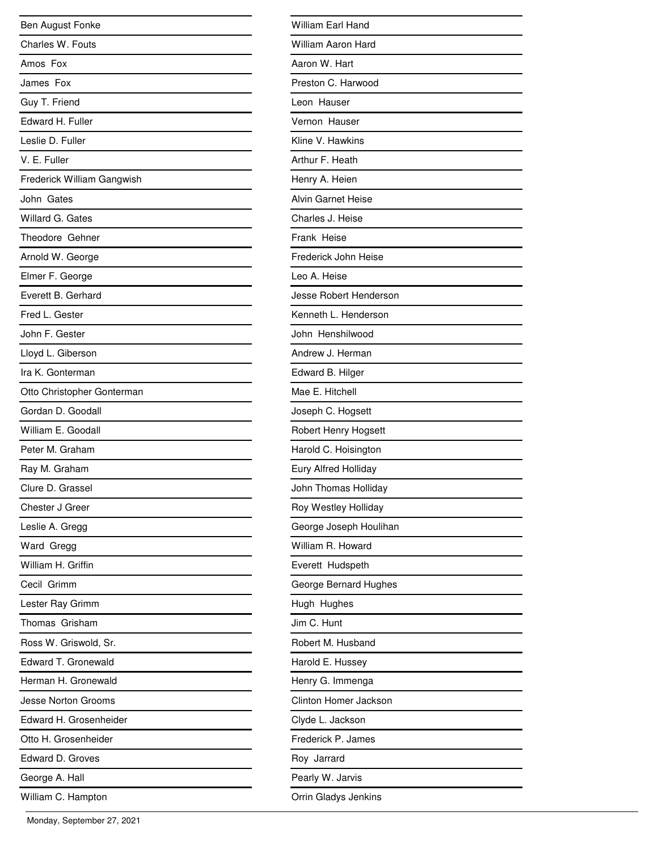| Ben August Fonke           |
|----------------------------|
| Charles W. Fouts           |
| Amos Fox                   |
| James Fox                  |
| Guy T. Friend              |
| Edward H. Fuller           |
| Leslie D. Fuller           |
| V. E. Fuller               |
| Frederick William Gangwish |
| John Gates                 |
| Willard G. Gates           |
| Theodore Gehner            |
| Arnold W. George           |
| Elmer F. George            |
| Everett B. Gerhard         |
| Fred L. Gester             |
| John F. Gester             |
| Lloyd L. Giberson          |
| Ira K. Gonterman           |
| Otto Christopher Gonterman |
| Gordan D. Goodall          |
| William E. Goodall         |
| Peter M. Graham            |
| Ray M. Graham              |
| Clure D. Grassel           |
| Chester J Greer            |
| Leslie A. Gregg            |
| Ward Gregg                 |
| William H. Griffin         |
| Cecil Grimm                |
| Lester Ray Grimm           |
| Thomas Grisham             |
| Ross W. Griswold, Sr.      |
| Edward T. Gronewald        |
| Herman H. Gronewald        |
| <b>Jesse Norton Grooms</b> |
| Edward H. Grosenheider     |
| Otto H. Grosenheider       |
| Edward D. Groves           |
| George A. Hall             |
| William C. Hampton         |

| William Earl Hand         |
|---------------------------|
| <b>William Aaron Hard</b> |
| Aaron W. Hart             |
| Preston C. Harwood        |
| Leon Hauser               |
| Vernon Hauser             |
| Kline V. Hawkins          |
| Arthur F. Heath           |
| Henry A. Heien            |
| <b>Alvin Garnet Heise</b> |
| Charles J. Heise          |
| Frank Heise               |
| Frederick John Heise      |
| Leo A. Heise              |
| Jesse Robert Henderson    |
| Kenneth L. Henderson      |
| John Henshilwood          |
| Andrew J. Herman          |
| Edward B. Hilger          |
| Mae E. Hitchell           |
| Joseph C. Hogsett         |
| Robert Henry Hogsett      |
| Harold C. Hoisington      |
| Eury Alfred Holliday      |
| John Thomas Holliday      |
| Roy Westley Holliday      |
| George Joseph Houlihan    |
| William R. Howard         |
| Everett Hudspeth          |
| George Bernard Hughes     |
| Hugh Hughes               |
| Jim C. Hunt               |
| Robert M. Husband         |
| Harold E. Hussey          |
| Henry G. Immenga          |
| Clinton Homer Jackson     |
| Clyde L. Jackson          |
| Frederick P. James        |
| Roy Jarrard               |
| Pearly W. Jarvis          |
| Orrin Gladys Jenkins      |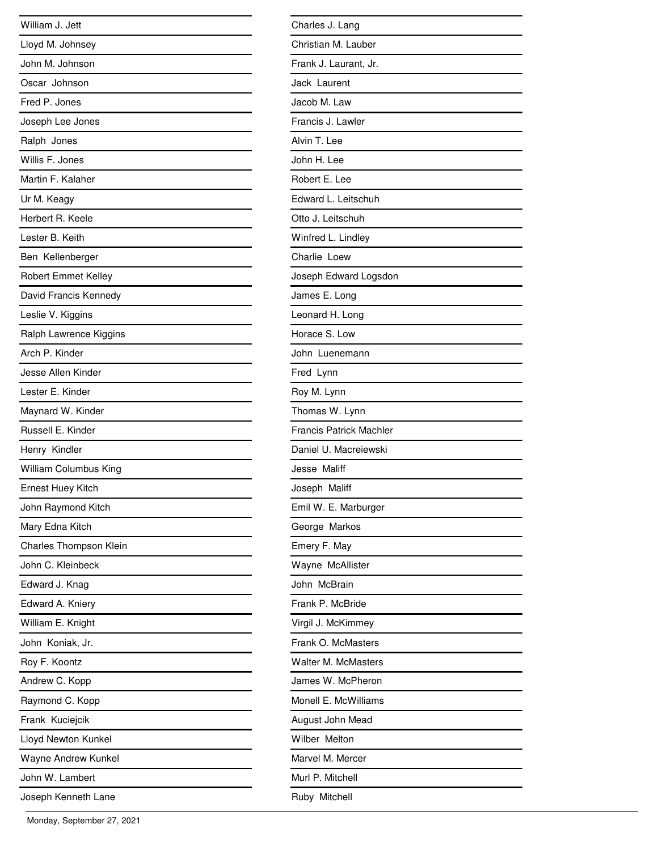| William J. Jett            |
|----------------------------|
| Lloyd M. Johnsey           |
| John M. Johnson            |
| Oscar Johnson              |
| Fred P. Jones              |
| Joseph Lee Jones           |
| Ralph Jones                |
| Willis F. Jones            |
| Martin F. Kalaher          |
| Ur M. Keagy                |
| Herbert R. Keele           |
| Lester B. Keith            |
| Ben Kellenberger           |
| <b>Robert Emmet Kelley</b> |
| David Francis Kennedy      |
| Leslie V. Kiggins          |
| Ralph Lawrence Kiggins     |
| Arch P. Kinder             |
| Jesse Allen Kinder         |
| Lester E. Kinder           |
| Maynard W. Kinder          |
| Russell E. Kinder          |
| Henry Kindler              |
| William Columbus King      |
| Ernest Huey Kitch          |
| John Raymond Kitch         |
| Mary Edna Kitch            |
| Charles Thompson Klein     |
| John C. Kleinbeck          |
| Edward J. Knag             |
| Edward A. Kniery           |
| William E. Knight          |
| John Koniak, Jr.           |
| Roy F. Koontz              |
| Andrew C. Kopp             |
| Raymond C. Kopp            |
| Frank Kuciejcik            |
| Lloyd Newton Kunkel        |
| Wayne Andrew Kunkel        |
| John W. Lambert            |
| Joseph Kenneth Lane        |

| Charles J. Lang                |
|--------------------------------|
| Christian M. Lauber            |
| Frank J. Laurant, Jr.          |
| Jack Laurent                   |
| Jacob M. Law                   |
| Francis J. Lawler              |
| Alvin T. Lee                   |
| John H. Lee                    |
| Robert E. Lee                  |
| Edward L. Leitschuh            |
| Otto J. Leitschuh              |
| Winfred L. Lindley             |
| Charlie Loew                   |
| Joseph Edward Logsdon          |
| James E. Long                  |
| Leonard H. Long                |
| Horace S. Low                  |
| John Luenemann                 |
| Fred Lynn                      |
| Roy M. Lynn                    |
| Thomas W. Lynn                 |
| <b>Francis Patrick Machler</b> |
| Daniel U. Macreiewski          |
| Jesse Maliff                   |
| Joseph Maliff                  |
| Emil W. E. Marburger           |
| George Markos                  |
| Emery F. May                   |
| Wayne McAllister               |
| John McBrain                   |
| Frank P. McBride               |
| Virgil J. McKimmey             |
| Frank O. McMasters             |
| <b>Walter M. McMasters</b>     |
| James W. McPheron              |
| Monell E. McWilliams           |
| August John Mead               |
| Wilber Melton                  |
| Marvel M. Mercer               |
| Murl P. Mitchell               |
| Ruby Mitchell                  |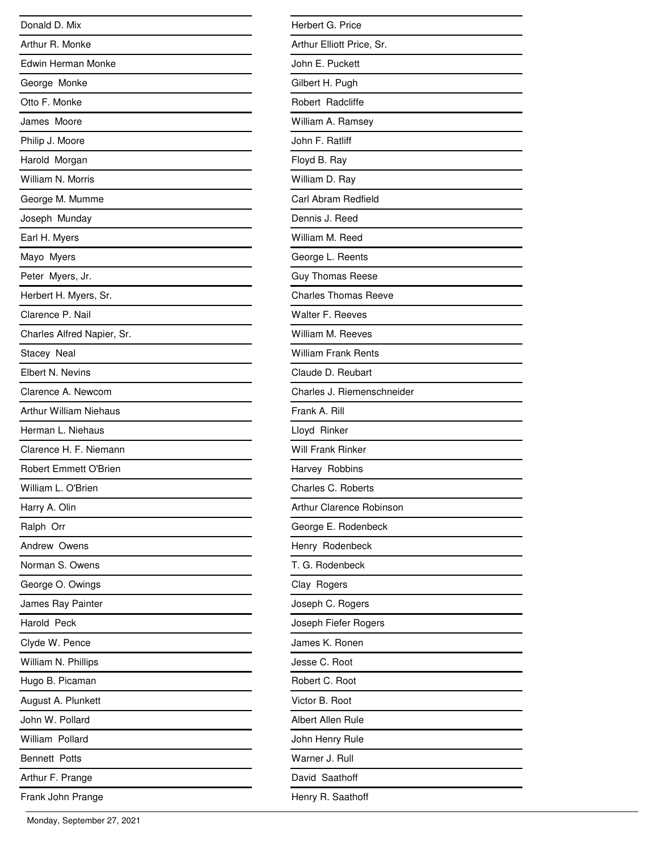| Donald D. Mix                 |
|-------------------------------|
| Arthur R. Monke               |
| <b>Edwin Herman Monke</b>     |
| George Monke                  |
| Otto F. Monke                 |
| James Moore                   |
| Philip J. Moore               |
| Harold Morgan                 |
| William N. Morris             |
| George M. Mumme               |
| Joseph Munday                 |
| Earl H. Myers                 |
| Mayo Myers                    |
| Peter Myers, Jr.              |
| Herbert H. Myers, Sr.         |
| Clarence P. Nail              |
| Charles Alfred Napier, Sr.    |
| Stacey Neal                   |
| Elbert N. Nevins              |
| Clarence A. Newcom            |
| <b>Arthur William Niehaus</b> |
| Herman L. Niehaus             |
| Clarence H. F. Niemann        |
| <b>Robert Emmett O'Brien</b>  |
| William L. O'Brien            |
| Harry A. Olin                 |
| Ralph Orr                     |
| Andrew Owens                  |
| Norman S. Owens               |
| George O. Owings              |
| James Ray Painter             |
| Harold Peck                   |
| Clyde W. Pence                |
| William N. Phillips           |
| Hugo B. Picaman               |
| August A. Plunkett            |
| John W. Pollard               |
| William Pollard               |
| <b>Bennett Potts</b>          |
| Arthur F. Prange              |
| Frank John Prange             |

| Herbert G. Price            |
|-----------------------------|
| Arthur Elliott Price, Sr.   |
| John E. Puckett             |
| Gilbert H. Pugh             |
| Robert Radcliffe            |
| William A. Ramsey           |
| John F. Ratliff             |
| Floyd B. Ray                |
| William D. Ray              |
| Carl Abram Redfield         |
| Dennis J. Reed              |
| William M. Reed             |
| George L. Reents            |
| <b>Guy Thomas Reese</b>     |
| <b>Charles Thomas Reeve</b> |
| Walter F. Reeves            |
| William M. Reeves           |
| <b>William Frank Rents</b>  |
| Claude D. Reubart           |
| Charles J. Riemenschneider  |
| Frank A. Rill               |
| Lloyd Rinker                |
| <b>Will Frank Rinker</b>    |
| Harvey Robbins              |
| Charles C. Roberts          |
| Arthur Clarence Robinson    |
| George E. Rodenbeck         |
| Henry Rodenbeck             |
| T. G. Rodenbeck             |
| Clay Rogers                 |
| Joseph C. Rogers            |
| Joseph Fiefer Rogers        |
| James K. Ronen              |
| Jesse C. Root               |
| Robert C. Root              |
| Victor B. Root              |
| <b>Albert Allen Rule</b>    |
| John Henry Rule             |
| Warner J. Rull              |
| David Saathoff              |
| Henry R. Saathoff           |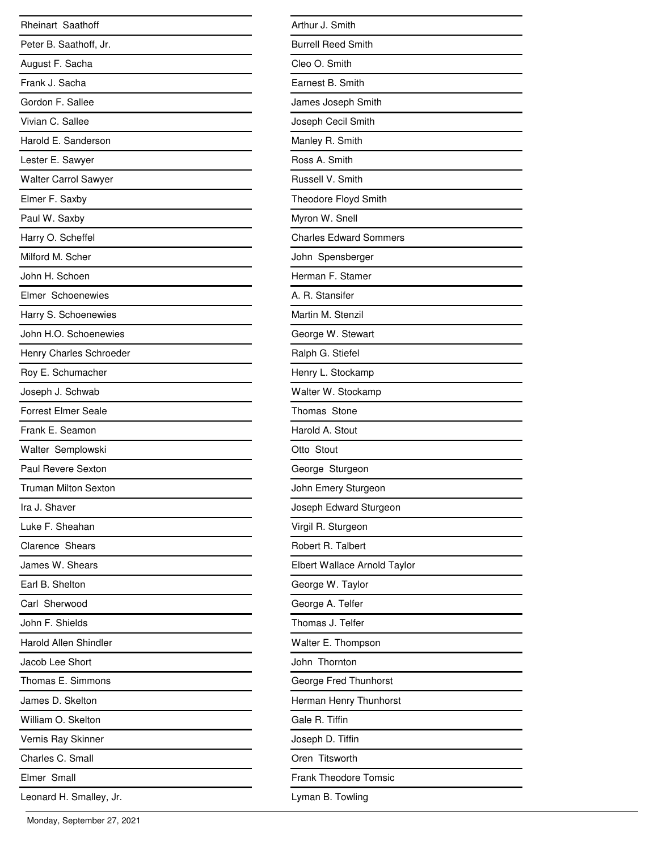| <b>Rheinart Saathoff</b>     |
|------------------------------|
| Peter B. Saathoff, Jr.       |
| August F. Sacha              |
| Frank J. Sacha               |
| Gordon F. Sallee             |
| Vivian C. Sallee             |
| Harold E. Sanderson          |
| Lester E. Sawyer             |
| <b>Walter Carrol Sawyer</b>  |
| Elmer F. Saxby               |
| Paul W. Saxby                |
| Harry O. Scheffel            |
| Milford M. Scher             |
| John H. Schoen               |
| Elmer Schoenewies            |
| Harry S. Schoenewies         |
| John H.O. Schoenewies        |
| Henry Charles Schroeder      |
| Roy E. Schumacher            |
| Joseph J. Schwab             |
| <b>Forrest Elmer Seale</b>   |
| Frank E. Seamon              |
| Walter Semplowski            |
| Paul Revere Sexton           |
| <b>Truman Milton Sexton</b>  |
| Ira J. Shaver                |
| Luke F. Sheahan              |
| <b>Clarence Shears</b>       |
| James W. Shears              |
| Earl B. Shelton              |
| Carl Sherwood                |
| John F. Shields              |
| <b>Harold Allen Shindler</b> |
| Jacob Lee Short              |
| Thomas E. Simmons            |
| James D. Skelton             |
| William O. Skelton           |
| Vernis Ray Skinner           |
| Charles C. Small             |
| Elmer Small                  |
| Leonard H. Smalley, Jr.      |

 $\overline{\phantom{0}}$ 

 $\overline{\phantom{a}}$ 

| Arthur J. Smith               |
|-------------------------------|
| <b>Burrell Reed Smith</b>     |
| Cleo O. Smith                 |
| Earnest B. Smith              |
| James Joseph Smith            |
| Joseph Cecil Smith            |
| Manley R. Smith               |
| Ross A. Smith                 |
| Russell V. Smith              |
| Theodore Floyd Smith          |
| Myron W. Snell                |
| <b>Charles Edward Sommers</b> |
| John Spensberger              |
| Herman F. Stamer              |
| A. R. Stansifer               |
| Martin M. Stenzil             |
| George W. Stewart             |
| Ralph G. Stiefel              |
| Henry L. Stockamp             |
| Walter W. Stockamp            |
| Thomas Stone                  |
| Harold A. Stout               |
| Otto Stout                    |
| George Sturgeon               |
| John Emery Sturgeon           |
| Joseph Edward Sturgeon        |
| Virgil R. Sturgeon            |
| Robert R. Talbert             |
| Elbert Wallace Arnold Taylor  |
| George W. Taylor              |
| George A. Telfer              |
| Thomas J. Telfer              |
| Walter E. Thompson            |
| John Thornton                 |
| George Fred Thunhorst         |
| Herman Henry Thunhorst        |
| Gale R. Tiffin                |
| Joseph D. Tiffin              |
| Oren Titsworth                |
| <b>Frank Theodore Tomsic</b>  |
| Lyman B. Towling              |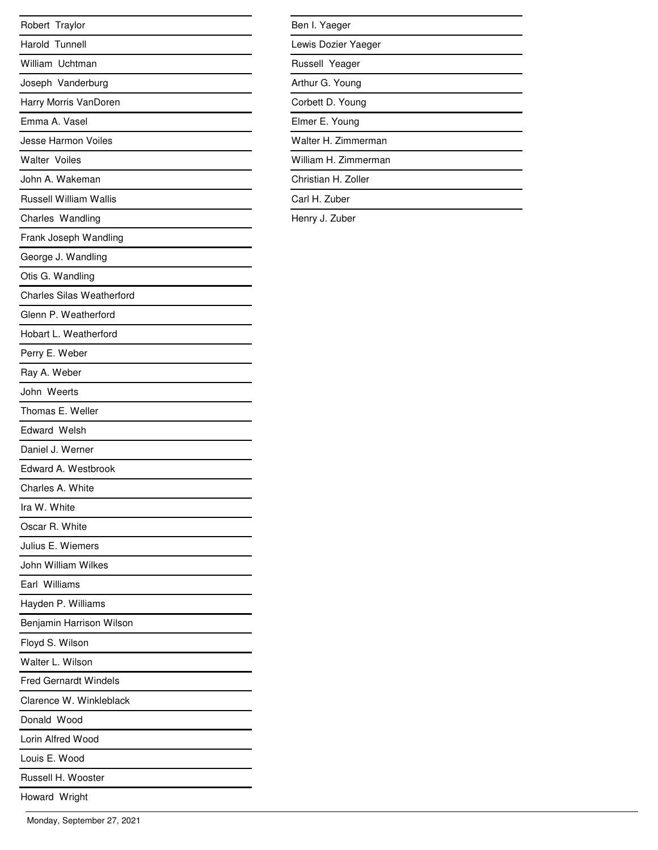| Robert Traylor                   |
|----------------------------------|
| Harold Tunnell                   |
| William Uchtman                  |
| Joseph Vanderburg                |
| Harry Morris VanDoren            |
| Emma A. Vasel                    |
| Jesse Harmon Voiles              |
| <b>Walter Voiles</b>             |
| John A. Wakeman                  |
| <b>Russell William Wallis</b>    |
| Charles Wandling                 |
| Frank Joseph Wandling            |
| George J. Wandling               |
| Otis G. Wandling                 |
| <b>Charles Silas Weatherford</b> |
| Glenn P. Weatherford             |
| Hobart L. Weatherford            |
| Perry E. Weber                   |
| Ray A. Weber                     |
| John Weerts                      |
| Thomas E. Weller                 |
| <b>Edward Welsh</b>              |
| Daniel J. Werner                 |
| Edward A. Westbrook              |
| Charles A. White                 |
| Ira W. White                     |
| Oscar R. White                   |
| Julius E. Wiemers                |
| John William Wilkes              |
| Earl Williams                    |
| Hayden P. Williams               |
| Benjamin Harrison Wilson         |
| Floyd S. Wilson                  |
| Walter L. Wilson                 |
| <b>Fred Gernardt Windels</b>     |
| Clarence W. Winkleblack          |
| Donald Wood                      |
| Lorin Alfred Wood                |
| Louis E. Wood                    |
| Russell H. Wooster               |
| Howard Wright                    |

| Ben I. Yaeger        |  |
|----------------------|--|
| Lewis Dozier Yaeger  |  |
| Russell Yeager       |  |
| Arthur G. Young      |  |
| Corbett D. Young     |  |
| Elmer E. Young       |  |
| Walter H. Zimmerman  |  |
| William H. Zimmerman |  |
| Christian H. Zoller  |  |
| Carl H. Zuber        |  |

Henry J. Zuber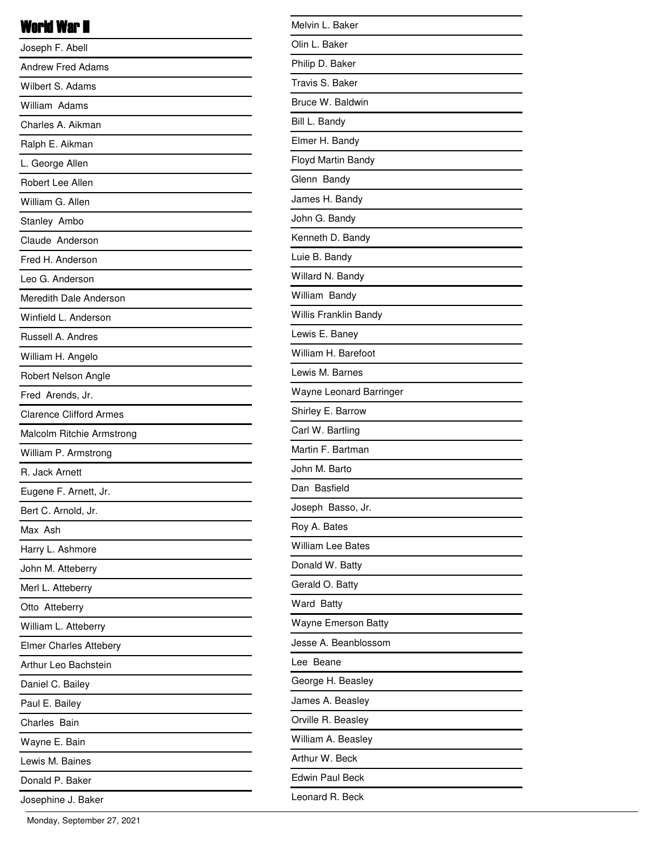## World War II

| Joseph F. Abell                |
|--------------------------------|
| <b>Andrew Fred Adams</b>       |
| Wilbert S. Adams               |
| William Adams                  |
| Charles A. Aikman              |
| Ralph E. Aikman                |
| L. George Allen                |
| Robert Lee Allen               |
| William G. Allen               |
| Stanley Ambo                   |
| Claude Anderson                |
| Fred H. Anderson               |
| Leo G. Anderson                |
| Meredith Dale Anderson         |
| Winfield L. Anderson           |
| Russell A. Andres              |
| William H. Angelo              |
| Robert Nelson Angle            |
| Fred Arends, Jr.               |
| <b>Clarence Clifford Armes</b> |
| Malcolm Ritchie Armstrong      |
| William P. Armstrong           |
| R. Jack Arnett                 |
| Eugene F. Arnett, Jr.          |
| Bert C. Arnold, Jr.            |
| Max Ash                        |
| Harry L. Ashmore               |
| John M. Atteberry              |
| Merl L. Atteberry              |
| Otto Atteberry                 |
| William L. Atteberry           |
| <b>Elmer Charles Attebery</b>  |
| Arthur Leo Bachstein           |
| Daniel C. Bailey               |
| Paul E. Bailey                 |
| Charles Bain                   |
| Wayne E. Bain                  |
| Lewis M. Baines                |
| Donald P. Baker                |
| Josephine J. Baker             |

| Melvin L. Baker            |
|----------------------------|
| Olin L. Baker              |
| Philip D. Baker            |
| Travis S. Baker            |
| Bruce W. Baldwin           |
| Bill L. Bandy              |
| Elmer H. Bandy             |
| Floyd Martin Bandy         |
| Glenn Bandy                |
| James H. Bandy             |
| John G. Bandy              |
| Kenneth D. Bandy           |
| Luie B. Bandy              |
| Willard N. Bandy           |
| William Bandy              |
| Willis Franklin Bandy      |
| Lewis E. Baney             |
| William H. Barefoot        |
| Lewis M. Barnes            |
| Wayne Leonard Barringer    |
| Shirley E. Barrow          |
| Carl W. Bartling           |
| Martin F. Bartman          |
| John M. Barto              |
| Dan Basfield               |
| Joseph Basso, Jr.          |
| Roy A. Bates               |
| <b>William Lee Bates</b>   |
| Donald W. Batty            |
| Gerald O. Batty            |
| Ward Batty                 |
| <b>Wayne Emerson Batty</b> |
| Jesse A. Beanblossom       |
| Lee Beane                  |
| George H. Beasley          |
| James A. Beasley           |
| Orville R. Beasley         |
| William A. Beasley         |
| Arthur W. Beck             |
| Edwin Paul Beck            |
| Leonard R. Beck            |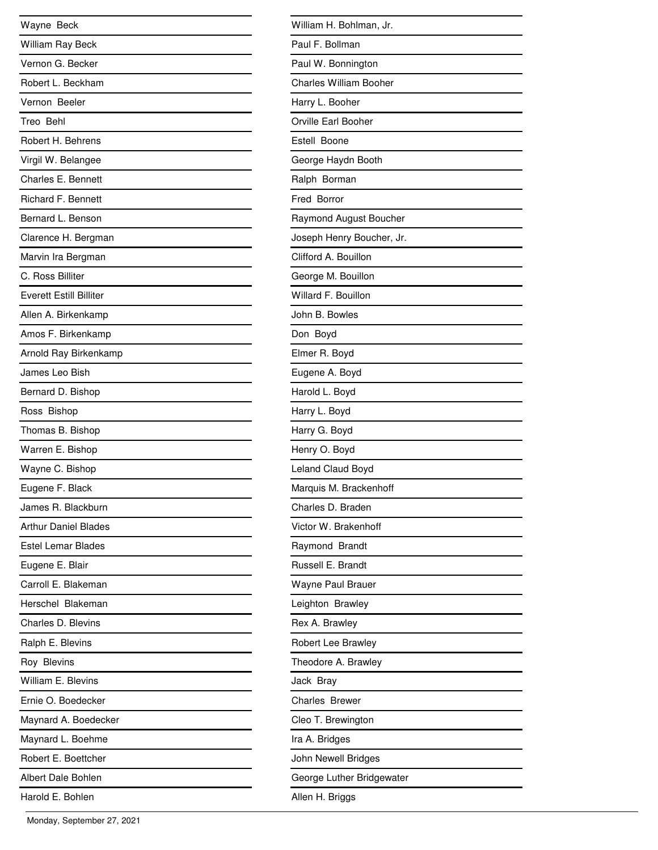| Wayne Beck                     |
|--------------------------------|
| William Ray Beck               |
| Vernon G. Becker               |
| Robert L. Beckham              |
| Vernon Beeler                  |
| Treo Behl                      |
| Robert H. Behrens              |
| Virgil W. Belangee             |
| Charles E. Bennett             |
| <b>Richard F. Bennett</b>      |
| Bernard L. Benson              |
| Clarence H. Bergman            |
| Marvin Ira Bergman             |
| C. Ross Billiter               |
| <b>Everett Estill Billiter</b> |
| Allen A. Birkenkamp            |
| Amos F. Birkenkamp             |
| Arnold Ray Birkenkamp          |
| James Leo Bish                 |
| Bernard D. Bishop              |
| Ross Bishop                    |
| Thomas B. Bishop               |
| Warren E. Bishop               |
| Wayne C. Bishop                |
| Eugene F. Black                |
| James R. Blackburn             |
| <b>Arthur Daniel Blades</b>    |
| Estel Lemar Blades             |
| Eugene E. Blair                |
| Carroll E. Blakeman            |
| Herschel Blakeman              |
| Charles D. Blevins             |
| Ralph E. Blevins               |
| Roy Blevins                    |
| William E. Blevins             |
| Ernie O. Boedecker             |
| Maynard A. Boedecker           |
| Maynard L. Boehme              |
| Robert E. Boettcher            |
| Albert Dale Bohlen             |
| Harold E. Bohlen               |

| William H. Bohlman, Jr.       |
|-------------------------------|
| Paul F. Bollman               |
| Paul W. Bonnington            |
| <b>Charles William Booher</b> |
| Harry L. Booher               |
| Orville Earl Booher           |
| Estell Boone                  |
| George Haydn Booth            |
| Ralph Borman                  |
| Fred Borror                   |
| Raymond August Boucher        |
| Joseph Henry Boucher, Jr.     |
| Clifford A. Bouillon          |
| George M. Bouillon            |
| Willard F. Bouillon           |
| John B. Bowles                |
| Don Boyd                      |
| Elmer R. Boyd                 |
| Eugene A. Boyd                |
| Harold L. Boyd                |
| Harry L. Boyd                 |
| Harry G. Boyd                 |
| Henry O. Boyd                 |
| Leland Claud Boyd             |
| Marquis M. Brackenhoff        |
| Charles D. Braden             |
| Victor W. Brakenhoff          |
| Raymond Brandt                |
| Russell E. Brandt             |
| Wayne Paul Brauer             |
| Leighton Brawley              |
| Rex A. Brawley                |
| Robert Lee Brawley            |
| Theodore A. Brawley           |
| Jack Bray                     |
| <b>Charles Brewer</b>         |
| Cleo T. Brewington            |
| Ira A. Bridges                |
| John Newell Bridges           |
| George Luther Bridgewater     |
| Allen H. Briggs               |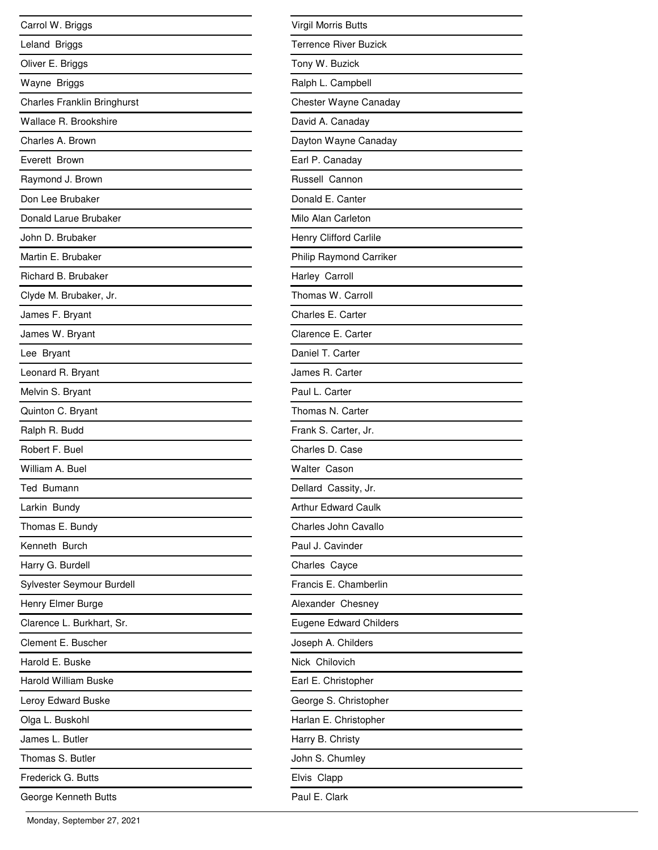| Carrol W. Briggs                   |
|------------------------------------|
| Leland Briggs                      |
| Oliver E. Briggs                   |
| Wayne Briggs                       |
| <b>Charles Franklin Bringhurst</b> |
| Wallace R. Brookshire              |
| Charles A. Brown                   |
| Everett Brown                      |
| Raymond J. Brown                   |
| Don Lee Brubaker                   |
| Donald Larue Brubaker              |
| John D. Brubaker                   |
| Martin E. Brubaker                 |
| Richard B. Brubaker                |
| Clyde M. Brubaker, Jr.             |
| James F. Bryant                    |
| James W. Bryant                    |
| Lee Bryant                         |
| Leonard R. Bryant                  |
| Melvin S. Bryant                   |
| Quinton C. Bryant                  |
| Ralph R. Budd                      |
| Robert F. Buel                     |
| William A. Buel                    |
| Ted Bumann                         |
| Larkin Bundy                       |
| Thomas E. Bundy                    |
| Kenneth Burch                      |
| Harry G. Burdell                   |
| Sylvester Seymour Burdell          |
| Henry Elmer Burge                  |
| Clarence L. Burkhart, Sr.          |
| Clement E. Buscher                 |
| Harold E. Buske                    |
| <b>Harold William Buske</b>        |
| Leroy Edward Buske                 |
| Olga L. Buskohl                    |
| James L. Butler                    |
| Thomas S. Butler                   |
| Frederick G. Butts                 |
| George Kenneth Butts               |

| Virgil Morris Butts           |
|-------------------------------|
| Terrence River Buzick         |
| Tony W. Buzick                |
| Ralph L. Campbell             |
| Chester Wayne Canaday         |
| David A. Canaday              |
| Dayton Wayne Canaday          |
| Earl P. Canaday               |
| Russell Cannon                |
| Donald E. Canter              |
| Milo Alan Carleton            |
| Henry Clifford Carlile        |
| Philip Raymond Carriker       |
| Harley Carroll                |
| Thomas W. Carroll             |
| Charles E. Carter             |
| Clarence E. Carter            |
| Daniel T. Carter              |
| James R. Carter               |
| Paul L. Carter                |
| Thomas N. Carter              |
| Frank S. Carter, Jr.          |
| Charles D. Case               |
| <b>Walter Cason</b>           |
| Dellard Cassity, Jr.          |
| <b>Arthur Edward Caulk</b>    |
| Charles John Cavallo          |
| Paul J. Cavinder              |
| Charles Cayce                 |
| Francis E. Chamberlin         |
| Alexander Chesney             |
| <b>Eugene Edward Childers</b> |
| Joseph A. Childers            |
| Nick Chilovich                |
| Earl E. Christopher           |
| George S. Christopher         |
| Harlan E. Christopher         |
| Harry B. Christy              |
| John S. Chumley               |
| Elvis Clapp                   |
| Paul E. Clark                 |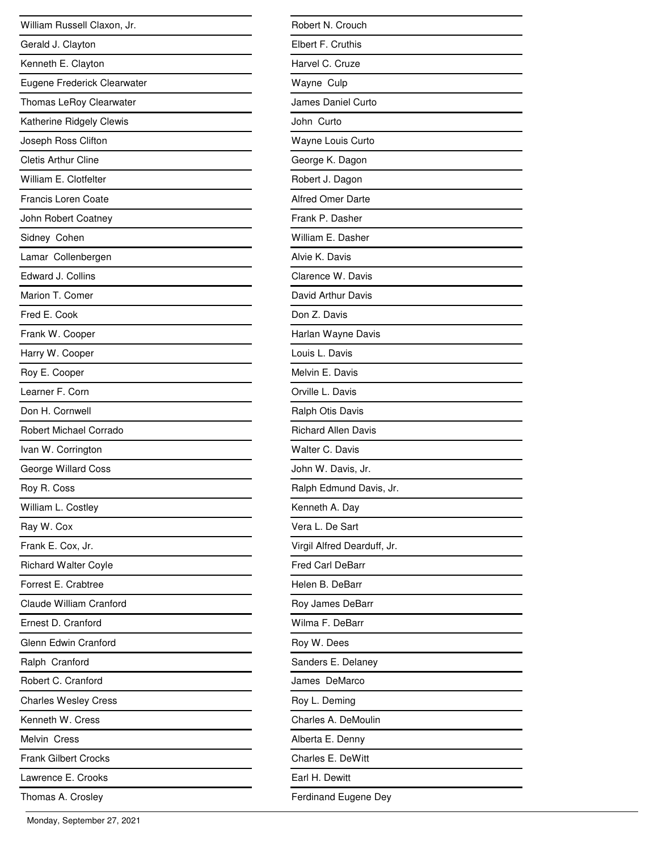| William Russell Claxon, Jr.   |
|-------------------------------|
| Gerald J. Clayton             |
| Kenneth E. Clayton            |
| Eugene Frederick Clearwater   |
| Thomas LeRoy Clearwater       |
| Katherine Ridgely Clewis      |
| Joseph Ross Clifton           |
| <b>Cletis Arthur Cline</b>    |
| William E. Clotfelter         |
| Francis Loren Coate           |
| John Robert Coatney           |
| Sidney Cohen                  |
| Lamar Collenbergen            |
| Edward J. Collins             |
| Marion T. Comer               |
| Fred E. Cook                  |
| Frank W. Cooper               |
| Harry W. Cooper               |
| Roy E. Cooper                 |
| Learner F. Corn               |
| Don H. Cornwell               |
| <b>Robert Michael Corrado</b> |
| Ivan W. Corrington            |
| George Willard Coss           |
| Roy R. Coss                   |
| William L. Costley            |
| Ray W. Cox                    |
| Frank E. Cox, Jr.             |
| <b>Richard Walter Coyle</b>   |
| Forrest E. Crabtree           |
| Claude William Cranford       |
| Ernest D. Cranford            |
| Glenn Edwin Cranford          |
| Ralph Cranford                |
| Robert C. Cranford            |
| <b>Charles Wesley Cress</b>   |
| Kenneth W. Cress              |
| Melvin Cress                  |
| <b>Frank Gilbert Crocks</b>   |
| Lawrence E. Crooks            |
| Thomas A. Crosley             |

| Robert N. Crouch            |
|-----------------------------|
| Elbert F. Cruthis           |
| Harvel C. Cruze             |
| Wayne Culp                  |
| James Daniel Curto          |
| John Curto                  |
| Wayne Louis Curto           |
| George K. Dagon             |
| Robert J. Dagon             |
| <b>Alfred Omer Darte</b>    |
| Frank P. Dasher             |
| William E. Dasher           |
| Alvie K. Davis              |
| Clarence W. Davis           |
| David Arthur Davis          |
| Don Z. Davis                |
| Harlan Wayne Davis          |
| Louis L. Davis              |
| Melvin E. Davis             |
| Orville L. Davis            |
| Ralph Otis Davis            |
| <b>Richard Allen Davis</b>  |
| Walter C. Davis             |
| John W. Davis, Jr.          |
| Ralph Edmund Davis, Jr.     |
| Kenneth A. Day              |
| Vera L. De Sart             |
| Virgil Alfred Dearduff, Jr. |
| Fred Carl DeBarr            |
| Helen B. DeBarr             |
| Roy James DeBarr            |
| Wilma F. DeBarr             |
| Roy W. Dees                 |
| Sanders E. Delaney          |
| James DeMarco               |
| Roy L. Deming               |
| Charles A. DeMoulin         |
| Alberta E. Denny            |
| Charles E. DeWitt           |
| Earl H. Dewitt              |
| Ferdinand Eugene Dey        |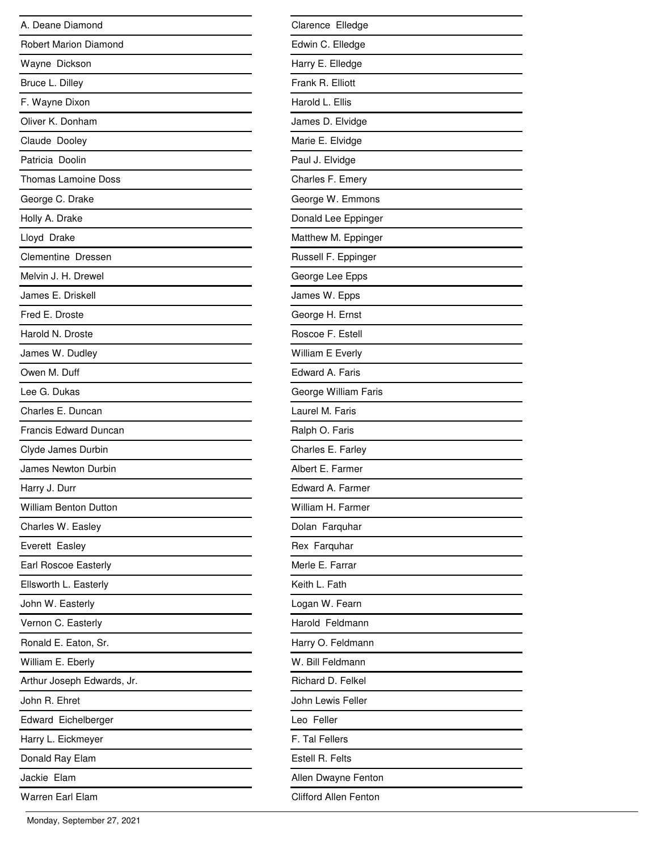| A. Deane Diamond             |
|------------------------------|
| <b>Robert Marion Diamond</b> |
| Wayne Dickson                |
| Bruce L. Dilley              |
| F. Wayne Dixon               |
| Oliver K. Donham             |
| Claude Dooley                |
| Patricia Doolin              |
| <b>Thomas Lamoine Doss</b>   |
| George C. Drake              |
| Holly A. Drake               |
| Lloyd Drake                  |
| Clementine Dressen           |
| Melvin J. H. Drewel          |
| James E. Driskell            |
| Fred E. Droste               |
| Harold N. Droste             |
| James W. Dudley              |
| Owen M. Duff                 |
| Lee G. Dukas                 |
| Charles E. Duncan            |
| Francis Edward Duncan        |
| Clyde James Durbin           |
| James Newton Durbin          |
| Harry J. Durr                |
| <b>William Benton Dutton</b> |
| Charles W. Easley            |
| Everett Easley               |
| <b>Earl Roscoe Easterly</b>  |
| Ellsworth L. Easterly        |
| John W. Easterly             |
| Vernon C. Easterly           |
| Ronald E. Eaton, Sr.         |
| William E. Eberly            |
| Arthur Joseph Edwards, Jr.   |
| John R. Ehret                |
| Edward Eichelberger          |
| Harry L. Eickmeyer           |
| Donald Ray Elam              |
| Jackie Elam                  |
| Warren Earl Elam             |

| Clarence Elledge      |
|-----------------------|
| Edwin C. Elledge      |
| Harry E. Elledge      |
| Frank R. Elliott      |
| Harold L. Ellis       |
| James D. Elvidge      |
| Marie E. Elvidge      |
| Paul J. Elvidge       |
| Charles F. Emery      |
| George W. Emmons      |
| Donald Lee Eppinger   |
| Matthew M. Eppinger   |
| Russell F. Eppinger   |
| George Lee Epps       |
| James W. Epps         |
| George H. Ernst       |
| Roscoe F. Estell      |
| William E Everly      |
| Edward A. Faris       |
| George William Faris  |
| Laurel M. Faris       |
| Ralph O. Faris        |
| Charles E. Farley     |
| Albert E. Farmer      |
| Edward A. Farmer      |
| William H. Farmer     |
| Dolan Farquhar        |
| Rex Farquhar          |
| Merle E. Farrar       |
| Keith L. Fath         |
| Logan W. Fearn        |
| Harold Feldmann       |
| Harry O. Feldmann     |
| W. Bill Feldmann      |
| Richard D. Felkel     |
| John Lewis Feller     |
| Leo Feller            |
| F. Tal Fellers        |
| Estell R. Felts       |
| Allen Dwayne Fenton   |
| Clifford Allen Fenton |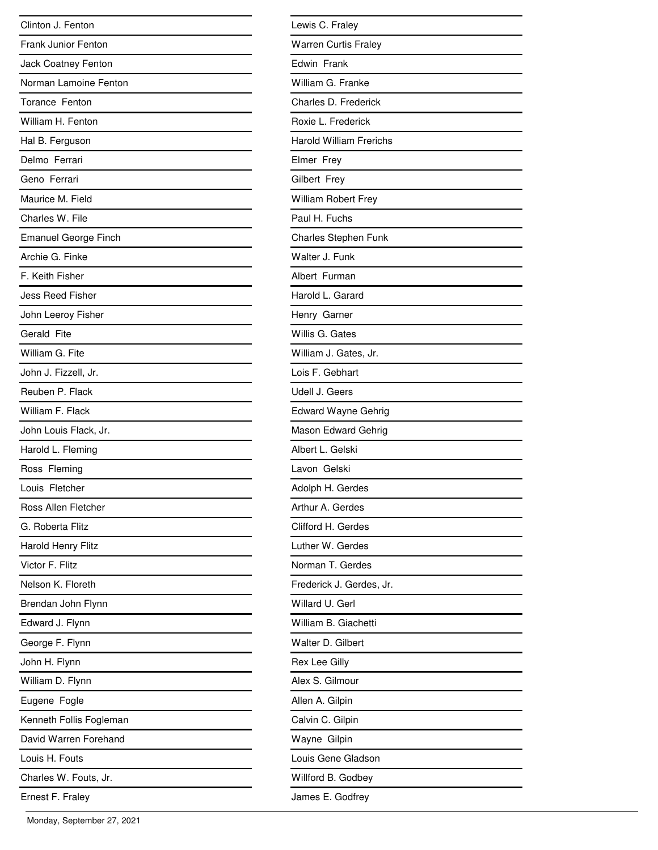| Clinton J. Fenton           |
|-----------------------------|
| <b>Frank Junior Fenton</b>  |
| Jack Coatney Fenton         |
| Norman Lamoine Fenton       |
| Torance Fenton              |
| William H. Fenton           |
| Hal B. Ferguson             |
| Delmo Ferrari               |
| Geno Ferrari                |
| Maurice M. Field            |
| Charles W. File             |
| <b>Emanuel George Finch</b> |
| Archie G. Finke             |
| F. Keith Fisher             |
| <b>Jess Reed Fisher</b>     |
| John Leeroy Fisher          |
| Gerald Fite                 |
| William G. Fite             |
| John J. Fizzell, Jr.        |
| Reuben P. Flack             |
| William F. Flack            |
| John Louis Flack, Jr.       |
| Harold L. Fleming           |
| Ross Fleming                |
| Louis Fletcher              |
| Ross Allen Fletcher         |
| G. Roberta Flitz            |
| <b>Harold Henry Flitz</b>   |
| Victor F. Flitz             |
| Nelson K. Floreth           |
| Brendan John Flynn          |
| Edward J. Flynn             |
| George F. Flynn             |
| John H. Flynn               |
| William D. Flynn            |
| Eugene Fogle                |
| Kenneth Follis Fogleman     |
| David Warren Forehand       |
| Louis H. Fouts              |
| Charles W. Fouts, Jr.       |
| Ernest F. Fraley            |

| Lewis C. Fraley                |
|--------------------------------|
| <b>Warren Curtis Fraley</b>    |
| Edwin Frank                    |
| William G. Franke              |
| Charles D. Frederick           |
| Roxie L. Frederick             |
| <b>Harold William Frerichs</b> |
| Elmer Frey                     |
| Gilbert Frey                   |
| William Robert Frey            |
| Paul H. Fuchs                  |
| <b>Charles Stephen Funk</b>    |
| Walter J. Funk                 |
| Albert Furman                  |
| Harold L. Garard               |
| Henry Garner                   |
| Willis G. Gates                |
| William J. Gates, Jr.          |
| Lois F. Gebhart                |
| Udell J. Geers                 |
| <b>Edward Wayne Gehrig</b>     |
| Mason Edward Gehrig            |
| Albert L. Gelski               |
| Lavon Gelski                   |
| Adolph H. Gerdes               |
| Arthur A. Gerdes               |
| Clifford H. Gerdes             |
| Luther W. Gerdes               |
| Norman T. Gerdes               |
| Frederick J. Gerdes, Jr.       |
| Willard U. Gerl                |
| William B. Giachetti           |
| Walter D. Gilbert              |
| Rex Lee Gilly                  |
| Alex S. Gilmour                |
| Allen A. Gilpin                |
| Calvin C. Gilpin               |
| Wayne Gilpin                   |
| Louis Gene Gladson             |
| Willford B. Godbey             |
| James E. Godfrey               |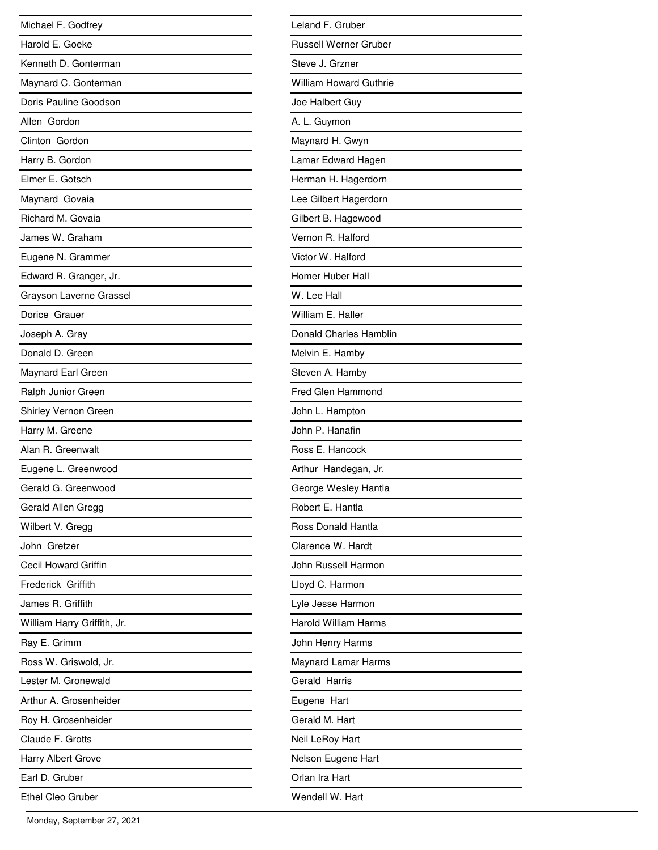| Michael F. Godfrey          |
|-----------------------------|
| Harold E. Goeke             |
| Kenneth D. Gonterman        |
| Maynard C. Gonterman        |
| Doris Pauline Goodson       |
| Allen Gordon                |
| Clinton Gordon              |
| Harry B. Gordon             |
| Elmer E. Gotsch             |
| Maynard Govaia              |
| Richard M. Govaia           |
| James W. Graham             |
| Eugene N. Grammer           |
| Edward R. Granger, Jr.      |
| Grayson Laverne Grassel     |
| Dorice Grauer               |
| Joseph A. Gray              |
| Donald D. Green             |
| Maynard Earl Green          |
| Ralph Junior Green          |
| Shirley Vernon Green        |
| Harry M. Greene             |
| Alan R. Greenwalt           |
| Eugene L. Greenwood         |
| Gerald G. Greenwood         |
| Gerald Allen Gregg          |
| Wilbert V. Gregg            |
| John Gretzer                |
| Cecil Howard Griffin        |
| <b>Frederick Griffith</b>   |
| James R. Griffith           |
| William Harry Griffith, Jr. |
| Ray E. Grimm                |
| Ross W. Griswold, Jr.       |
| Lester M. Gronewald         |
| Arthur A. Grosenheider      |
| Roy H. Grosenheider         |
| Claude F. Grotts            |
| Harry Albert Grove          |
| Earl D. Gruber              |
| <b>Ethel Cleo Gruber</b>    |

| Leland F. Gruber              |
|-------------------------------|
| <b>Russell Werner Gruber</b>  |
| Steve J. Grzner               |
| <b>William Howard Guthrie</b> |
| Joe Halbert Guy               |
| A. L. Guymon                  |
| Maynard H. Gwyn               |
| Lamar Edward Hagen            |
| Herman H. Hagerdorn           |
| Lee Gilbert Hagerdorn         |
| Gilbert B. Hagewood           |
| Vernon R. Halford             |
| Victor W. Halford             |
| Homer Huber Hall              |
| W. Lee Hall                   |
| William E. Haller             |
| Donald Charles Hamblin        |
| Melvin E. Hamby               |
| Steven A. Hamby               |
| <b>Fred Glen Hammond</b>      |
| John L. Hampton               |
| John P. Hanafin               |
| Ross E. Hancock               |
| Arthur Handegan, Jr.          |
| George Wesley Hantla          |
| Robert E. Hantla              |
| Ross Donald Hantla            |
| Clarence W. Hardt             |
| John Russell Harmon           |
| Lloyd C. Harmon               |
| Lyle Jesse Harmon             |
| <b>Harold William Harms</b>   |
| John Henry Harms              |
| Maynard Lamar Harms           |
| Gerald Harris                 |
| Eugene Hart                   |
| Gerald M. Hart                |
| Neil LeRoy Hart               |
| Nelson Eugene Hart            |
| Orlan Ira Hart                |
| Wendell W. Hart               |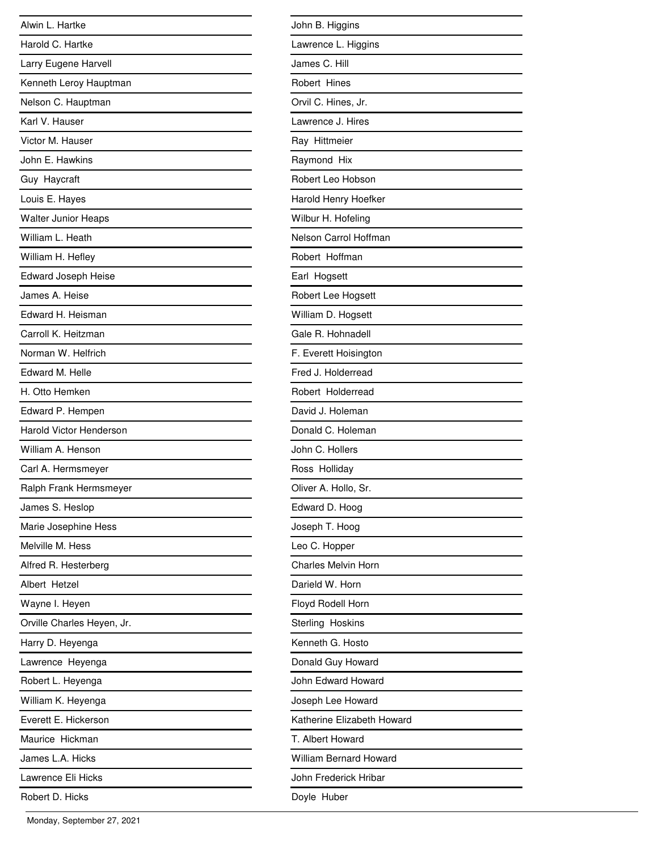| Alwin L. Hartke                |
|--------------------------------|
| Harold C. Hartke               |
| Larry Eugene Harvell           |
| Kenneth Leroy Hauptman         |
| Nelson C. Hauptman             |
| Karl V. Hauser                 |
| Victor M. Hauser               |
| John E. Hawkins                |
| Guy Haycraft                   |
| Louis E. Hayes                 |
| <b>Walter Junior Heaps</b>     |
| William L. Heath               |
| William H. Hefley              |
| <b>Edward Joseph Heise</b>     |
| James A. Heise                 |
| Edward H. Heisman              |
| Carroll K. Heitzman            |
| Norman W. Helfrich             |
| Edward M. Helle                |
| H. Otto Hemken                 |
| Edward P. Hempen               |
| <b>Harold Victor Henderson</b> |
| William A. Henson              |
| Carl A. Hermsmeyer             |
| Ralph Frank Hermsmeyer         |
| James S. Heslop                |
| Marie Josephine Hess           |
| Melville M. Hess               |
| Alfred R. Hesterberg           |
| Albert Hetzel                  |
| Wayne I. Heyen                 |
| Orville Charles Heyen, Jr.     |
| Harry D. Heyenga               |
| Lawrence Heyenga               |
| Robert L. Heyenga              |
| William K. Heyenga             |
| Everett E. Hickerson           |
| Maurice Hickman                |
| James L.A. Hicks               |
| Lawrence Eli Hicks             |
| Robert D. Hicks                |

| John B. Higgins               |
|-------------------------------|
| Lawrence L. Higgins           |
| James C. Hill                 |
| Robert Hines                  |
| Orvil C. Hines, Jr.           |
| Lawrence J. Hires             |
| Ray Hittmeier                 |
| Raymond Hix                   |
| Robert Leo Hobson             |
| Harold Henry Hoefker          |
| Wilbur H. Hofeling            |
| Nelson Carrol Hoffman         |
| Robert Hoffman                |
| Earl Hogsett                  |
| Robert Lee Hogsett            |
| William D. Hogsett            |
| Gale R. Hohnadell             |
| F. Everett Hoisington         |
| Fred J. Holderread            |
| Robert Holderread             |
| David J. Holeman              |
| Donald C. Holeman             |
| John C. Hollers               |
| Ross Holliday                 |
| Oliver A. Hollo, Sr.          |
| Edward D. Hoog                |
| Joseph T. Hoog                |
| Leo C. Hopper                 |
| <b>Charles Melvin Horn</b>    |
| Darield W. Horn               |
| Floyd Rodell Horn             |
| Sterling Hoskins              |
| Kenneth G. Hosto              |
| Donald Guy Howard             |
| John Edward Howard            |
| Joseph Lee Howard             |
| Katherine Elizabeth Howard    |
| T. Albert Howard              |
| <b>William Bernard Howard</b> |
| John Frederick Hribar         |
| Doyle Huber                   |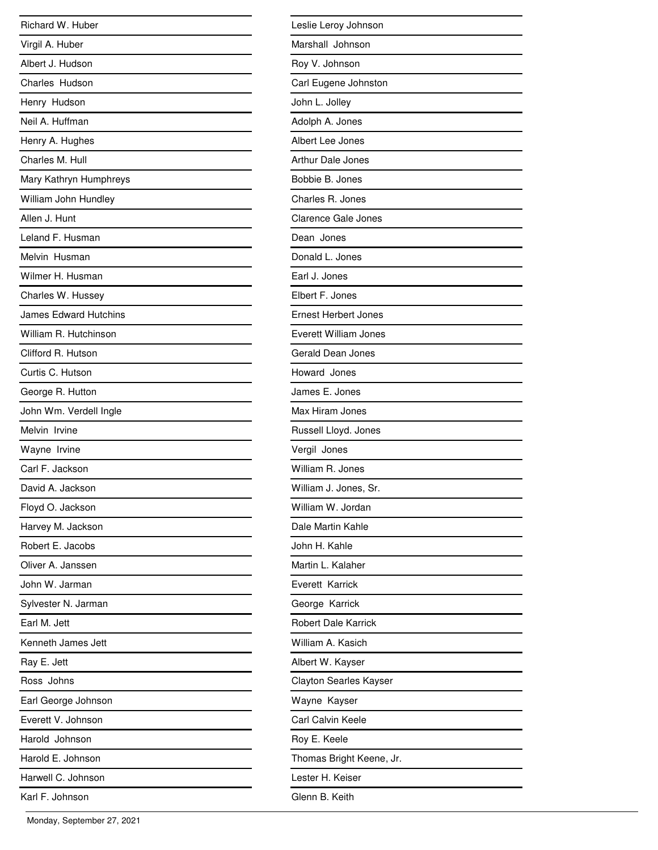| Richard W. Huber             |
|------------------------------|
| Virgil A. Huber              |
| Albert J. Hudson             |
| Charles Hudson               |
| Henry Hudson                 |
| Neil A. Huffman              |
| Henry A. Hughes              |
| Charles M. Hull              |
| Mary Kathryn Humphreys       |
| William John Hundley         |
| Allen J. Hunt                |
| Leland F. Husman             |
| Melvin Husman                |
| Wilmer H. Husman             |
| Charles W. Hussey            |
| <b>James Edward Hutchins</b> |
| William R. Hutchinson        |
| Clifford R. Hutson           |
| Curtis C. Hutson             |
| George R. Hutton             |
| John Wm. Verdell Ingle       |
| Melvin Irvine                |
| Wayne Irvine                 |
| Carl F. Jackson              |
| David A. Jackson             |
| Floyd O. Jackson             |
| Harvey M. Jackson            |
| Robert E. Jacobs             |
| Oliver A. Janssen            |
| John W. Jarman               |
| Sylvester N. Jarman          |
| Earl M. Jett                 |
| Kenneth James Jett           |
| Ray E. Jett                  |
| Ross Johns                   |
| Earl George Johnson          |
| Everett V. Johnson           |
| Harold Johnson               |
| Harold E. Johnson            |
| Harwell C. Johnson           |
| Karl F. Johnson              |

| Leslie Leroy Johnson          |
|-------------------------------|
| Marshall Johnson              |
| Roy V. Johnson                |
| Carl Eugene Johnston          |
| John L. Jolley                |
| Adolph A. Jones               |
| Albert Lee Jones              |
| <b>Arthur Dale Jones</b>      |
| Bobbie B. Jones               |
| Charles R. Jones              |
| <b>Clarence Gale Jones</b>    |
| Dean Jones                    |
| Donald L. Jones               |
| Earl J. Jones                 |
| Elbert F. Jones               |
| <b>Ernest Herbert Jones</b>   |
| Everett William Jones         |
| <b>Gerald Dean Jones</b>      |
| Howard Jones                  |
| James E. Jones                |
| Max Hiram Jones               |
| Russell Lloyd. Jones          |
| Vergil Jones                  |
| William R. Jones              |
| William J. Jones, Sr.         |
| William W. Jordan             |
| Dale Martin Kahle             |
| John H. Kahle                 |
| Martin L. Kalaher             |
| Everett Karrick               |
| George Karrick                |
| <b>Robert Dale Karrick</b>    |
| William A. Kasich             |
| Albert W. Kayser              |
| <b>Clayton Searles Kayser</b> |
| Wayne Kayser                  |
| Carl Calvin Keele             |
| Roy E. Keele                  |
| Thomas Bright Keene, Jr.      |
| Lester H. Keiser              |
| Glenn B. Keith                |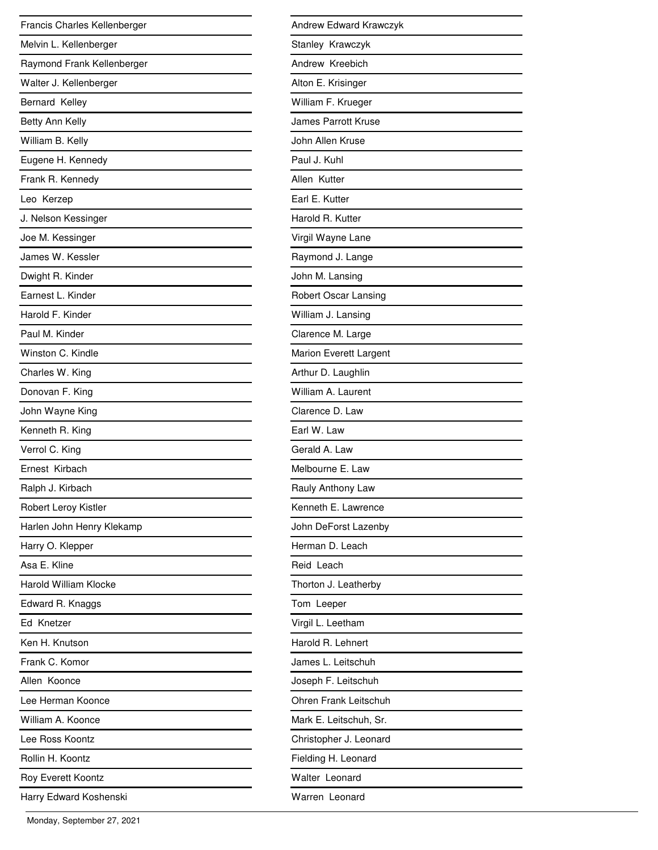| Francis Charles Kellenberger |
|------------------------------|
| Melvin L. Kellenberger       |
| Raymond Frank Kellenberger   |
| Walter J. Kellenberger       |
| Bernard Kelley               |
| Betty Ann Kelly              |
| William B. Kelly             |
| Eugene H. Kennedy            |
| Frank R. Kennedy             |
| Leo Kerzep                   |
| J. Nelson Kessinger          |
| Joe M. Kessinger             |
| James W. Kessler             |
| Dwight R. Kinder             |
| Earnest L. Kinder            |
| Harold F. Kinder             |
| Paul M. Kinder               |
| Winston C. Kindle            |
| Charles W. King              |
| Donovan F. King              |
| John Wayne King              |
| Kenneth R. King              |
| Verrol C. King               |
| Ernest Kirbach               |
| Ralph J. Kirbach             |
| Robert Leroy Kistler         |
| Harlen John Henry Klekamp    |
| Harry O. Klepper             |
| Asa E. Kline                 |
| <b>Harold William Klocke</b> |
| Edward R. Knaggs             |
| Ed Knetzer                   |
| Ken H. Knutson               |
| Frank C. Komor               |
| Allen Koonce                 |
| Lee Herman Koonce            |
| William A. Koonce            |
| Lee Ross Koontz              |
| Rollin H. Koontz             |
| <b>Roy Everett Koontz</b>    |
| Harry Edward Koshenski       |

| Andrew Edward Krawczyk      |
|-----------------------------|
| Stanley Krawczyk            |
| Andrew Kreebich             |
| Alton E. Krisinger          |
| William F. Krueger          |
| James Parrott Kruse         |
| John Allen Kruse            |
| Paul J. Kuhl                |
| Allen Kutter                |
| Earl E. Kutter              |
| Harold R. Kutter            |
| Virgil Wayne Lane           |
| Raymond J. Lange            |
| John M. Lansing             |
| <b>Robert Oscar Lansing</b> |
| William J. Lansing          |
| Clarence M. Large           |
| Marion Everett Largent      |
| Arthur D. Laughlin          |
| William A. Laurent          |
| Clarence D. Law             |
| Earl W. Law                 |
| Gerald A. Law               |
| Melbourne E. Law            |
| Rauly Anthony Law           |
| Kenneth E. Lawrence         |
| John DeForst Lazenby        |
| Herman D. Leach             |
| Reid Leach                  |
| Thorton J. Leatherby        |
| Tom Leeper                  |
| Virgil L. Leetham           |
| Harold R. Lehnert           |
| James L. Leitschuh          |
| Joseph F. Leitschuh         |
| Ohren Frank Leitschuh       |
| Mark E. Leitschuh, Sr.      |
| Christopher J. Leonard      |
| Fielding H. Leonard         |
| Walter Leonard              |
| Warren Leonard              |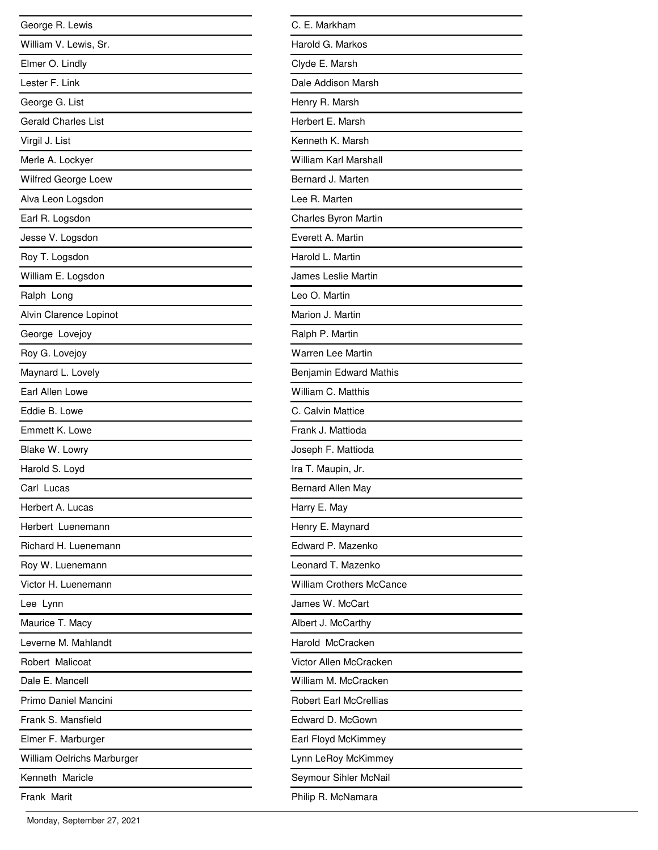| George R. Lewis            |
|----------------------------|
| William V. Lewis, Sr.      |
| Elmer O. Lindly            |
| Lester F. Link             |
| George G. List             |
| <b>Gerald Charles List</b> |
| Virgil J. List             |
| Merle A. Lockyer           |
| Wilfred George Loew        |
| Alva Leon Logsdon          |
| Earl R. Logsdon            |
| Jesse V. Logsdon           |
| Roy T. Logsdon             |
| William E. Logsdon         |
| Ralph Long                 |
| Alvin Clarence Lopinot     |
| George Lovejoy             |
| Roy G. Lovejoy             |
| Maynard L. Lovely          |
| Earl Allen Lowe            |
| Eddie B. Lowe              |
| Emmett K. Lowe             |
| Blake W. Lowry             |
| Harold S. Loyd             |
| Carl Lucas                 |
| Herbert A. Lucas           |
| Herbert Luenemann          |
| Richard H. Luenemann       |
| Roy W. Luenemann           |
| Victor H. Luenemann        |
| Lee Lynn                   |
| Maurice T. Macy            |
| Leverne M. Mahlandt        |
| Robert Malicoat            |
| Dale E. Mancell            |
| Primo Daniel Mancini       |
| Frank S. Mansfield         |
| Elmer F. Marburger         |
| William Oelrichs Marburger |
| Kenneth Maricle            |
| Frank Marit                |

| C. E. Markham                   |
|---------------------------------|
| Harold G. Markos                |
| Clyde E. Marsh                  |
| Dale Addison Marsh              |
| Henry R. Marsh                  |
| Herbert E. Marsh                |
| Kenneth K. Marsh                |
| William Karl Marshall           |
| Bernard J. Marten               |
| Lee R. Marten                   |
| Charles Byron Martin            |
| Everett A. Martin               |
| Harold L. Martin                |
| James Leslie Martin             |
| Leo O. Martin                   |
| Marion J. Martin                |
| Ralph P. Martin                 |
| <b>Warren Lee Martin</b>        |
| Benjamin Edward Mathis          |
| William C. Matthis              |
| C. Calvin Mattice               |
| Frank J. Mattioda               |
| Joseph F. Mattioda              |
| Ira T. Maupin, Jr.              |
| Bernard Allen May               |
| Harry E. May                    |
| Henry E. Maynard                |
| Edward P. Mazenko               |
| Leonard T. Mazenko              |
| <b>William Crothers McCance</b> |
| James W. McCart                 |
| Albert J. McCarthy              |
| Harold McCracken                |
| Victor Allen McCracken          |
| William M. McCracken            |
| <b>Robert Earl McCrellias</b>   |
| Edward D. McGown                |
| Earl Floyd McKimmey             |
| Lynn LeRoy McKimmey             |
| Seymour Sihler McNail           |
| Philip R. McNamara              |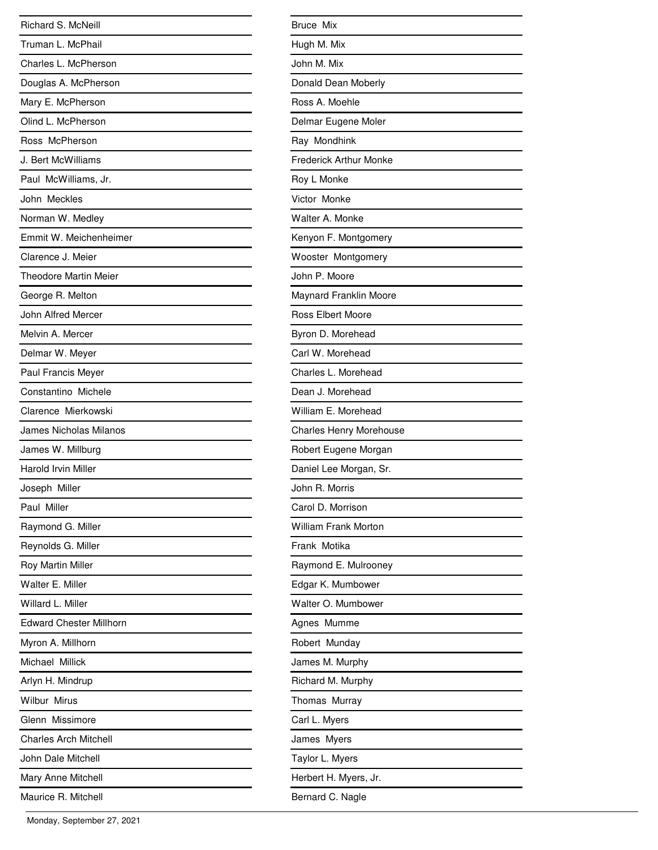| Richard S. McNeill             |
|--------------------------------|
| Truman L. McPhail              |
| Charles L. McPherson           |
| Douglas A. McPherson           |
| Mary E. McPherson              |
| Olind L. McPherson             |
| Ross McPherson                 |
| J. Bert McWilliams             |
| Paul McWilliams, Jr.           |
| John Meckles                   |
| Norman W. Medley               |
| Emmit W. Meichenheimer         |
| Clarence J. Meier              |
| <b>Theodore Martin Meier</b>   |
| George R. Melton               |
| John Alfred Mercer             |
| Melvin A. Mercer               |
| Delmar W. Meyer                |
| Paul Francis Meyer             |
| Constantino Michele            |
| Clarence Mierkowski            |
| James Nicholas Milanos         |
| James W. Millburg              |
| <b>Harold Irvin Miller</b>     |
| Joseph Miller                  |
| Paul Miller                    |
| Raymond G. Miller              |
| Reynolds G. Miller             |
| Roy Martin Miller              |
| Walter E. Miller               |
| Willard L. Miller              |
| <b>Edward Chester Millhorn</b> |
| Myron A. Millhorn              |
| Michael Millick                |
| Arlyn H. Mindrup               |
| <b>Wilbur Mirus</b>            |
| Glenn Missimore                |
| <b>Charles Arch Mitchell</b>   |
| John Dale Mitchell             |
| Mary Anne Mitchell             |
| Maurice R. Mitchell            |

| <b>Bruce Mix</b>               |
|--------------------------------|
| Hugh M. Mix                    |
| John M. Mix                    |
| Donald Dean Moberly            |
| Ross A. Moehle                 |
| Delmar Eugene Moler            |
| Ray Mondhink                   |
| <b>Frederick Arthur Monke</b>  |
| Roy L Monke                    |
| Victor Monke                   |
| Walter A. Monke                |
| Kenyon F. Montgomery           |
| Wooster Montgomery             |
| John P. Moore                  |
| Maynard Franklin Moore         |
| <b>Ross Elbert Moore</b>       |
| Byron D. Morehead              |
| Carl W. Morehead               |
| Charles L. Morehead            |
| Dean J. Morehead               |
| William E. Morehead            |
| <b>Charles Henry Morehouse</b> |
| Robert Eugene Morgan           |
| Daniel Lee Morgan, Sr.         |
| John R. Morris                 |
| Carol D. Morrison              |
| William Frank Morton           |
| Frank Motika                   |
| Raymond E. Mulrooney           |
| Edgar K. Mumbower              |
| Walter O. Mumbower             |
| Agnes Mumme                    |
| Robert Munday                  |
| James M. Murphy                |
| Richard M. Murphy              |
| Thomas Murray                  |
| Carl L. Myers                  |
| James Myers                    |
| Taylor L. Myers                |
| Herbert H. Myers, Jr.          |
| Bernard C. Nagle               |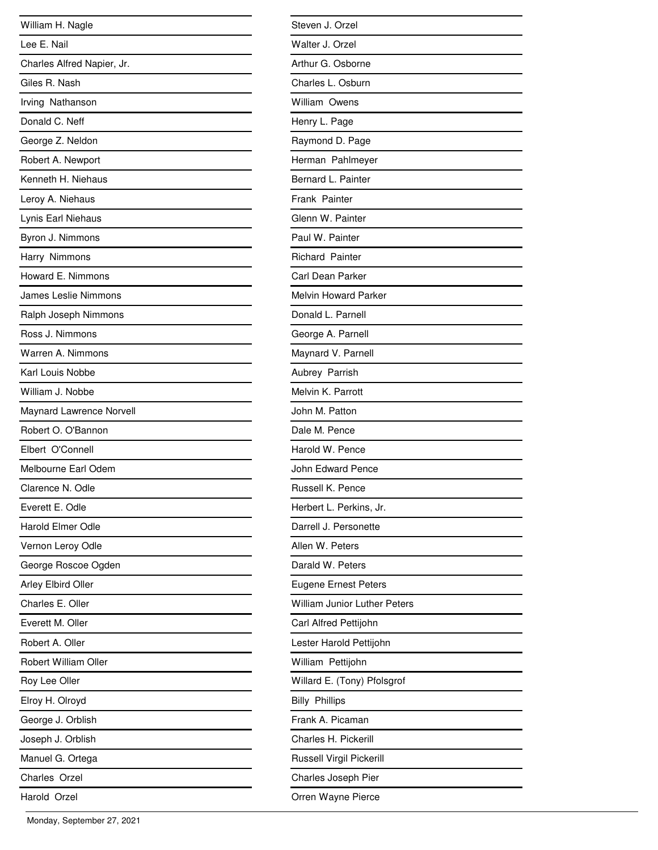| William H. Nagle            |
|-----------------------------|
| Lee E. Nail                 |
| Charles Alfred Napier, Jr.  |
| Giles R. Nash               |
| Irving Nathanson            |
| Donald C. Neff              |
| George Z. Neldon            |
| Robert A. Newport           |
| Kenneth H. Niehaus          |
| Leroy A. Niehaus            |
| Lynis Earl Niehaus          |
| Byron J. Nimmons            |
| Harry Nimmons               |
| Howard E. Nimmons           |
| <b>James Leslie Nimmons</b> |
| Ralph Joseph Nimmons        |
| Ross J. Nimmons             |
| Warren A. Nimmons           |
| Karl Louis Nobbe            |
| William J. Nobbe            |
| Maynard Lawrence Norvell    |
| Robert O. O'Bannon          |
| Elbert O'Connell            |
| Melbourne Earl Odem         |
| Clarence N. Odle            |
| Everett E. Odle             |
| <b>Harold Elmer Odle</b>    |
| Vernon Leroy Odle           |
| George Roscoe Ogden         |
| Arley Elbird Oller          |
| Charles E. Oller            |
| Everett M. Oller            |
| Robert A. Oller             |
| Robert William Oller        |
| Roy Lee Oller               |
| Elroy H. Olroyd             |
| George J. Orblish           |
| Joseph J. Orblish           |
| Manuel G. Ortega            |
| Charles Orzel               |
| Harold Orzel                |

| Steven J. Orzel                     |
|-------------------------------------|
| Walter J. Orzel                     |
| Arthur G. Osborne                   |
| Charles L. Osburn                   |
| William Owens                       |
| Henry L. Page                       |
| Raymond D. Page                     |
| Herman Pahlmeyer                    |
| Bernard L. Painter                  |
| Frank Painter                       |
| Glenn W. Painter                    |
| Paul W. Painter                     |
| <b>Richard Painter</b>              |
| Carl Dean Parker                    |
| <b>Melvin Howard Parker</b>         |
| Donald L. Parnell                   |
| George A. Parnell                   |
| Maynard V. Parnell                  |
| Aubrey Parrish                      |
| Melvin K. Parrott                   |
| John M. Patton                      |
| Dale M. Pence                       |
| Harold W. Pence                     |
| John Edward Pence                   |
| Russell K. Pence                    |
| Herbert L. Perkins, Jr.             |
| Darrell J. Personette               |
| Allen W. Peters                     |
| Darald W. Peters                    |
| <b>Eugene Ernest Peters</b>         |
| <b>William Junior Luther Peters</b> |
| Carl Alfred Pettijohn               |
| Lester Harold Pettijohn             |
| William Pettijohn                   |
| Willard E. (Tony) Pfolsgrof         |
| <b>Billy Phillips</b>               |
| Frank A. Picaman                    |
| Charles H. Pickerill                |
| Russell Virgil Pickerill            |
| Charles Joseph Pier                 |
| Orren Wayne Pierce                  |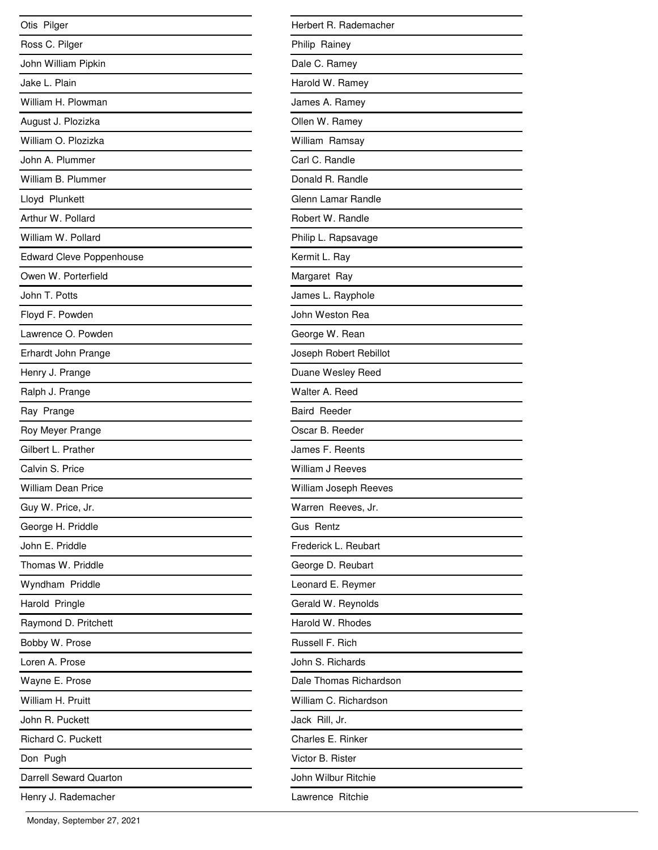| Otis Pilger                     |
|---------------------------------|
| Ross C. Pilger                  |
| John William Pipkin             |
| Jake L. Plain                   |
| William H. Plowman              |
| August J. Plozizka              |
| William O. Plozizka             |
| John A. Plummer                 |
| William B. Plummer              |
| Lloyd Plunkett                  |
| Arthur W. Pollard               |
| William W. Pollard              |
| <b>Edward Cleve Poppenhouse</b> |
| Owen W. Porterfield             |
| John T. Potts                   |
| Floyd F. Powden                 |
| Lawrence O. Powden              |
| Erhardt John Prange             |
| Henry J. Prange                 |
| Ralph J. Prange                 |
| Ray Prange                      |
| Roy Meyer Prange                |
| Gilbert L. Prather              |
| Calvin S. Price                 |
| <b>William Dean Price</b>       |
| Guy W. Price, Jr.               |
| George H. Priddle               |
| John E. Priddle                 |
| Thomas W. Priddle               |
| Wyndham Priddle                 |
| Harold Pringle                  |
| Raymond D. Pritchett            |
| Bobby W. Prose                  |
| Loren A. Prose                  |
| Wayne E. Prose                  |
| William H. Pruitt               |
| John R. Puckett                 |
| Richard C. Puckett              |
| Don Pugh                        |
| <b>Darrell Seward Quarton</b>   |
| Henry J. Rademacher             |

| Herbert R. Rademacher  |
|------------------------|
| Philip Rainey          |
| Dale C. Ramey          |
| Harold W. Ramey        |
| James A. Ramey         |
| Ollen W. Ramey         |
| William Ramsay         |
| Carl C. Randle         |
| Donald R. Randle       |
| Glenn Lamar Randle     |
| Robert W. Randle       |
| Philip L. Rapsavage    |
| Kermit L. Ray          |
| Margaret Ray           |
| James L. Rayphole      |
| John Weston Rea        |
| George W. Rean         |
| Joseph Robert Rebillot |
| Duane Wesley Reed      |
| Walter A. Reed         |
| <b>Baird Reeder</b>    |
| Oscar B. Reeder        |
| James F. Reents        |
| William J Reeves       |
| William Joseph Reeves  |
| Warren Reeves, Jr.     |
| Gus Rentz              |
| Frederick L. Reubart   |
| George D. Reubart      |
| Leonard E. Reymer      |
| Gerald W. Reynolds     |
| Harold W. Rhodes       |
| Russell F. Rich        |
| John S. Richards       |
| Dale Thomas Richardson |
| William C. Richardson  |
| Jack Rill, Jr.         |
| Charles E. Rinker      |
| Victor B. Rister       |
| John Wilbur Ritchie    |
| Lawrence Ritchie       |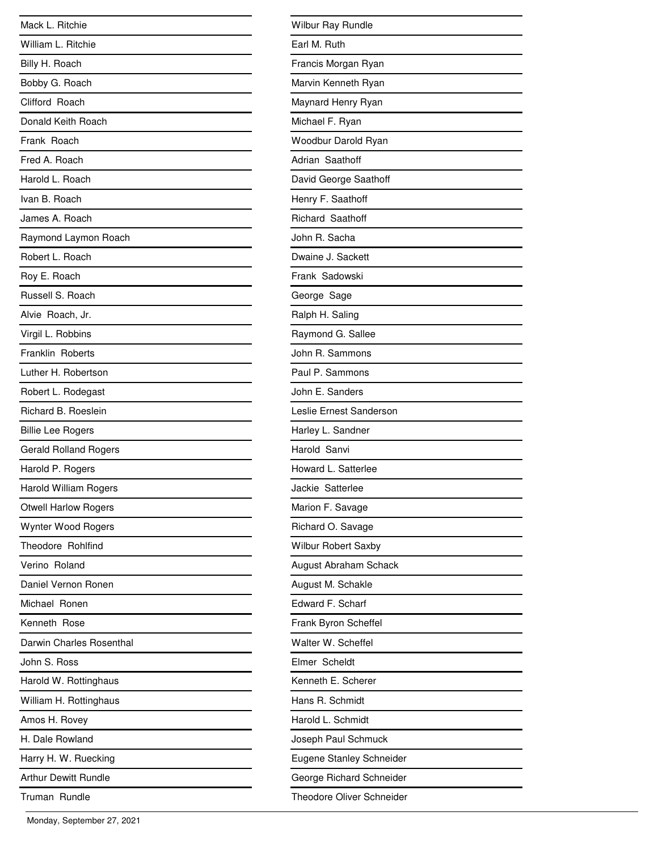| Mack L. Ritchie              |
|------------------------------|
| William L. Ritchie           |
| Billy H. Roach               |
| Bobby G. Roach               |
| Clifford Roach               |
| Donald Keith Roach           |
| Frank Roach                  |
| Fred A. Roach                |
| Harold L. Roach              |
| Ivan B. Roach                |
| James A. Roach               |
| Raymond Laymon Roach         |
| Robert L. Roach              |
| Roy E. Roach                 |
| Russell S. Roach             |
| Alvie Roach, Jr.             |
| Virgil L. Robbins            |
| Franklin Roberts             |
| Luther H. Robertson          |
| Robert L. Rodegast           |
| Richard B. Roeslein          |
| <b>Billie Lee Rogers</b>     |
| <b>Gerald Rolland Rogers</b> |
| Harold P. Rogers             |
| <b>Harold William Rogers</b> |
| <b>Otwell Harlow Rogers</b>  |
| Wynter Wood Rogers           |
| Theodore Rohlfind            |
| Verino Roland                |
| Daniel Vernon Ronen          |
| Michael Ronen                |
| Kenneth Rose                 |
| Darwin Charles Rosenthal     |
| John S. Ross                 |
| Harold W. Rottinghaus        |
| William H. Rottinghaus       |
| Amos H. Rovey                |
| H. Dale Rowland              |
| Harry H. W. Ruecking         |
| <b>Arthur Dewitt Rundle</b>  |
| Truman Rundle                |

| <b>Wilbur Ray Rundle</b>         |
|----------------------------------|
| Earl M. Ruth                     |
| Francis Morgan Ryan              |
| Marvin Kenneth Ryan              |
| Maynard Henry Ryan               |
| Michael F. Ryan                  |
| Woodbur Darold Ryan              |
| Adrian Saathoff                  |
| David George Saathoff            |
| Henry F. Saathoff                |
| Richard Saathoff                 |
| John R. Sacha                    |
| Dwaine J. Sackett                |
| Frank Sadowski                   |
| George Sage                      |
| Ralph H. Saling                  |
| Raymond G. Sallee                |
| John R. Sammons                  |
| Paul P. Sammons                  |
| John E. Sanders                  |
| Leslie Ernest Sanderson          |
| Harley L. Sandner                |
| Harold Sanvi                     |
| Howard L. Satterlee              |
| Jackie Satterlee                 |
| Marion F. Savage                 |
| Richard O. Savage                |
| <b>Wilbur Robert Saxby</b>       |
| August Abraham Schack            |
| August M. Schakle                |
| Edward F. Scharf                 |
| Frank Byron Scheffel             |
| Walter W. Scheffel               |
| Elmer Scheldt                    |
| Kenneth E. Scherer               |
| Hans R. Schmidt                  |
| Harold L. Schmidt                |
| Joseph Paul Schmuck              |
| Eugene Stanley Schneider         |
| George Richard Schneider         |
| <b>Theodore Oliver Schneider</b> |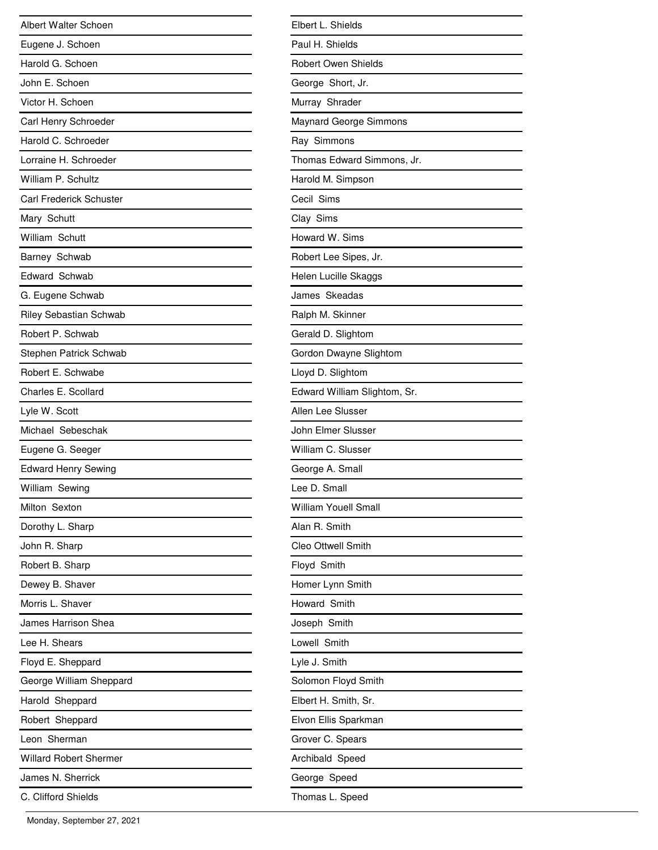| Albert Walter Schoen           |
|--------------------------------|
| Eugene J. Schoen               |
| Harold G. Schoen               |
| John E. Schoen                 |
| Victor H. Schoen               |
| Carl Henry Schroeder           |
| Harold C. Schroeder            |
| Lorraine H. Schroeder          |
| William P. Schultz             |
| <b>Carl Frederick Schuster</b> |
| Mary Schutt                    |
| William Schutt                 |
| Barney Schwab                  |
| Edward Schwab                  |
| G. Eugene Schwab               |
| <b>Riley Sebastian Schwab</b>  |
| Robert P. Schwab               |
| Stephen Patrick Schwab         |
| Robert E. Schwabe              |
| Charles E. Scollard            |
| Lyle W. Scott                  |
| Michael Sebeschak              |
| Eugene G. Seeger               |
| <b>Edward Henry Sewing</b>     |
| William Sewing                 |
| Milton Sexton                  |
| Dorothy L. Sharp               |
| John R. Sharp                  |
| Robert B. Sharp                |
| Dewey B. Shaver                |
| Morris L. Shaver               |
| James Harrison Shea            |
| Lee H. Shears                  |
| Floyd E. Sheppard              |
| George William Sheppard        |
| Harold Sheppard                |
| Robert Sheppard                |
| Leon Sherman                   |
| <b>Willard Robert Shermer</b>  |
| James N. Sherrick              |
| C. Clifford Shields            |

| Elbert L. Shields            |
|------------------------------|
| Paul H. Shields              |
| Robert Owen Shields          |
| George Short, Jr.            |
| Murray Shrader               |
| Maynard George Simmons       |
| Ray Simmons                  |
| Thomas Edward Simmons, Jr.   |
| Harold M. Simpson            |
| Cecil Sims                   |
| Clay Sims                    |
| Howard W. Sims               |
| Robert Lee Sipes, Jr.        |
| Helen Lucille Skaggs         |
| James Skeadas                |
| Ralph M. Skinner             |
| Gerald D. Slightom           |
| Gordon Dwayne Slightom       |
| Lloyd D. Slightom            |
| Edward William Slightom, Sr. |
| Allen Lee Slusser            |
| John Elmer Slusser           |
| William C. Slusser           |
| George A. Small              |
| Lee D. Small                 |
| William Youell Small         |
| Alan R. Smith                |
| Cleo Ottwell Smith           |
| Floyd Smith                  |
| Homer Lynn Smith             |
| Howard Smith                 |
| Joseph Smith                 |
| Lowell Smith                 |
| Lyle J. Smith                |
| Solomon Floyd Smith          |
| Elbert H. Smith, Sr.         |
| Elvon Ellis Sparkman         |
| Grover C. Spears             |
| Archibald Speed              |
| George Speed                 |
| Thomas L. Speed              |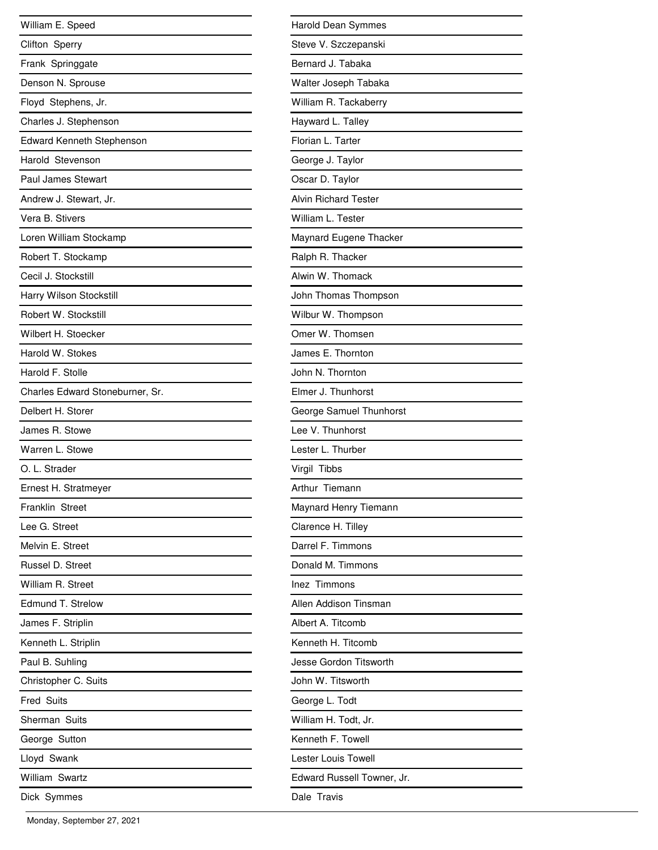| William E. Speed                 |
|----------------------------------|
| Clifton Sperry                   |
| Frank Springgate                 |
| Denson N. Sprouse                |
| Floyd Stephens, Jr.              |
| Charles J. Stephenson            |
| <b>Edward Kenneth Stephenson</b> |
| Harold Stevenson                 |
| <b>Paul James Stewart</b>        |
| Andrew J. Stewart, Jr.           |
| Vera B. Stivers                  |
| Loren William Stockamp           |
| Robert T. Stockamp               |
| Cecil J. Stockstill              |
| Harry Wilson Stockstill          |
| Robert W. Stockstill             |
| Wilbert H. Stoecker              |
| Harold W. Stokes                 |
| Harold F. Stolle                 |
| Charles Edward Stoneburner, Sr.  |
| Delbert H. Storer                |
| James R. Stowe                   |
| Warren L. Stowe                  |
| O. L. Strader                    |
| Ernest H. Stratmeyer             |
| Franklin Street                  |
| Lee G. Street                    |
| Melvin E. Street                 |
| Russel D. Street                 |
| William R. Street                |
| Edmund T. Strelow                |
| James F. Striplin                |
| Kenneth L. Striplin              |
| Paul B. Suhling                  |
| Christopher C. Suits             |
| <b>Fred Suits</b>                |
| Sherman Suits                    |
| George Sutton                    |
| Lloyd Swank                      |
| William Swartz                   |
| Dick Symmes                      |

| Harold Dean Symmes          |
|-----------------------------|
| Steve V. Szczepanski        |
| Bernard J. Tabaka           |
| Walter Joseph Tabaka        |
| William R. Tackaberry       |
| Hayward L. Talley           |
| Florian L. Tarter           |
| George J. Taylor            |
| Oscar D. Taylor             |
| <b>Alvin Richard Tester</b> |
| William L. Tester           |
| Maynard Eugene Thacker      |
| Ralph R. Thacker            |
| Alwin W. Thomack            |
| John Thomas Thompson        |
| Wilbur W. Thompson          |
| Omer W. Thomsen             |
| James E. Thornton           |
| John N. Thornton            |
| Elmer J. Thunhorst          |
| George Samuel Thunhorst     |
| Lee V. Thunhorst            |
| Lester L. Thurber           |
| Virgil Tibbs                |
| Arthur Tiemann              |
| Maynard Henry Tiemann       |
| Clarence H. Tilley          |
| Darrel F. Timmons           |
| Donald M. Timmons           |
| Inez Timmons                |
| Allen Addison Tinsman       |
| Albert A. Titcomb           |
| Kenneth H. Titcomb          |
| Jesse Gordon Titsworth      |
| John W. Titsworth           |
| George L. Todt              |
| William H. Todt, Jr.        |
| Kenneth F. Towell           |
| Lester Louis Towell         |
| Edward Russell Towner, Jr.  |
| Dale Travis                 |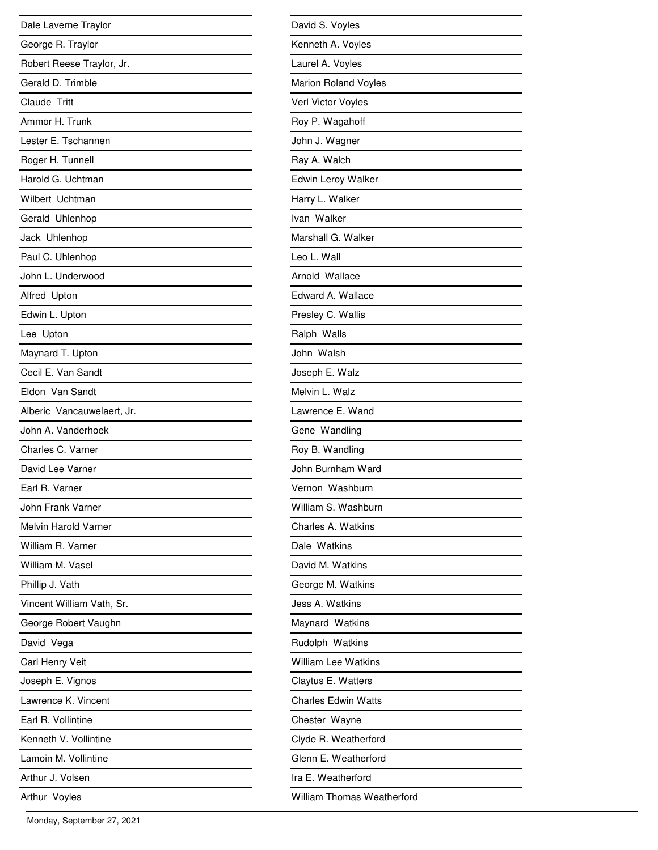| Dale Laverne Traylor       |
|----------------------------|
| George R. Traylor          |
| Robert Reese Traylor, Jr.  |
| Gerald D. Trimble          |
| Claude Tritt               |
| Ammor H. Trunk             |
| Lester E. Tschannen        |
| Roger H. Tunnell           |
| Harold G. Uchtman          |
| Wilbert Uchtman            |
| Gerald Uhlenhop            |
| Jack Uhlenhop              |
| Paul C. Uhlenhop           |
| John L. Underwood          |
| Alfred Upton               |
| Edwin L. Upton             |
| Lee Upton                  |
| Maynard T. Upton           |
| Cecil E. Van Sandt         |
| Eldon Van Sandt            |
| Alberic Vancauwelaert, Jr. |
| John A. Vanderhoek         |
| Charles C. Varner          |
| David Lee Varner           |
| Earl R. Varner             |
| John Frank Varner          |
| Melvin Harold Varner       |
| William R. Varner          |
| William M. Vasel           |
| Phillip J. Vath            |
| Vincent William Vath, Sr.  |
| George Robert Vaughn       |
| David Vega                 |
| Carl Henry Veit            |
| Joseph E. Vignos           |
| Lawrence K. Vincent        |
| Earl R. Vollintine         |
| Kenneth V. Vollintine      |
| Lamoin M. Vollintine       |
| Arthur J. Volsen           |
| Arthur Voyles              |

| David S. Voyles             |
|-----------------------------|
| Kenneth A. Voyles           |
| Laurel A. Voyles            |
| <b>Marion Roland Voyles</b> |
| Verl Victor Voyles          |
| Roy P. Wagahoff             |
| John J. Wagner              |
| Ray A. Walch                |
| Edwin Leroy Walker          |
| Harry L. Walker             |
| Ivan Walker                 |
| Marshall G. Walker          |
| Leo L. Wall                 |
| Arnold Wallace              |
| Edward A. Wallace           |
| Presley C. Wallis           |
| Ralph Walls                 |
| John Walsh                  |
| Joseph E. Walz              |
| Melvin L. Walz              |
| Lawrence E. Wand            |
| Gene Wandling               |
| Roy B. Wandling             |
| John Burnham Ward           |
| Vernon Washburn             |
| William S. Washburn         |
| Charles A. Watkins          |
| Dale Watkins                |
| David M. Watkins            |
| George M. Watkins           |
| Jess A. Watkins             |
| Maynard Watkins             |
| Rudolph Watkins             |
| <b>William Lee Watkins</b>  |
| Claytus E. Watters          |
| <b>Charles Edwin Watts</b>  |
| Chester Wayne               |
| Clyde R. Weatherford        |
| Glenn E. Weatherford        |
| Ira E. Weatherford          |
| William Thomas Weatherford  |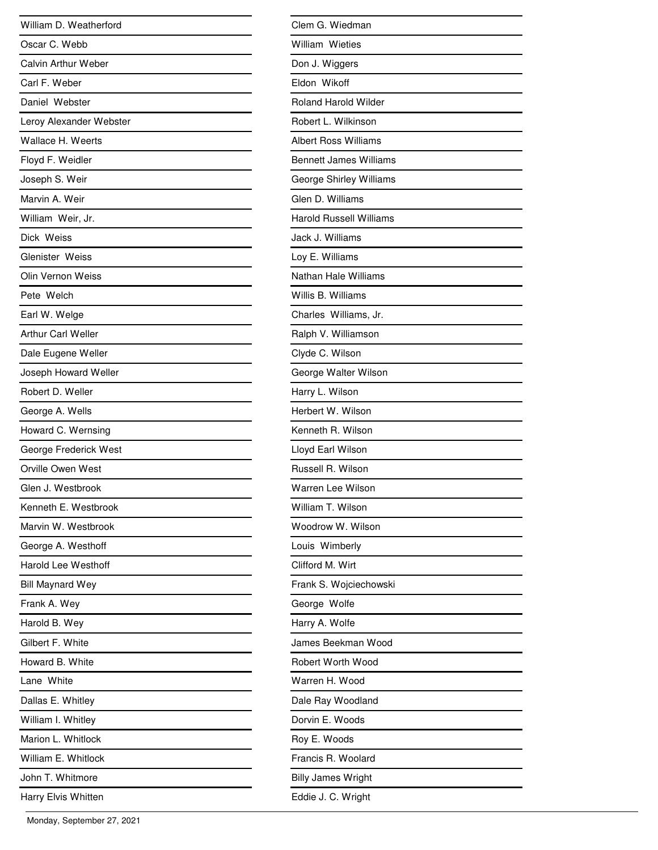| William D. Weatherford     |
|----------------------------|
| Oscar C. Webb              |
| Calvin Arthur Weber        |
| Carl F. Weber              |
| Daniel Webster             |
| Leroy Alexander Webster    |
| Wallace H. Weerts          |
| Floyd F. Weidler           |
| Joseph S. Weir             |
| Marvin A. Weir             |
| William Weir, Jr.          |
| Dick Weiss                 |
| Glenister Weiss            |
| Olin Vernon Weiss          |
| Pete Welch                 |
| Earl W. Welge              |
| <b>Arthur Carl Weller</b>  |
| Dale Eugene Weller         |
| Joseph Howard Weller       |
| Robert D. Weller           |
| George A. Wells            |
| Howard C. Wernsing         |
| George Frederick West      |
| Orville Owen West          |
| Glen J. Westbrook          |
| Kenneth E. Westbrook       |
| Marvin W. Westbrook        |
| George A. Westhoff         |
| <b>Harold Lee Westhoff</b> |
| <b>Bill Maynard Wey</b>    |
| Frank A. Wey               |
| Harold B. Wey              |
| Gilbert F. White           |
| Howard B. White            |
| Lane White                 |
| Dallas E. Whitley          |
| William I. Whitley         |
| Marion L. Whitlock         |
| William E. Whitlock        |
| John T. Whitmore           |
| Harry Elvis Whitten        |

| Clem G. Wiedman                |
|--------------------------------|
| <b>William Wieties</b>         |
| Don J. Wiggers                 |
| Eldon Wikoff                   |
| <b>Roland Harold Wilder</b>    |
| Robert L. Wilkinson            |
| Albert Ross Williams           |
| <b>Bennett James Williams</b>  |
| George Shirley Williams        |
| Glen D. Williams               |
| <b>Harold Russell Williams</b> |
| Jack J. Williams               |
| Loy E. Williams                |
| Nathan Hale Williams           |
| Willis B. Williams             |
| Charles Williams, Jr.          |
| Ralph V. Williamson            |
| Clyde C. Wilson                |
| George Walter Wilson           |
| Harry L. Wilson                |
| Herbert W. Wilson              |
| Kenneth R. Wilson              |
| Lloyd Earl Wilson              |
| Russell R. Wilson              |
| Warren Lee Wilson              |
| William T. Wilson              |
| Woodrow W. Wilson              |
| Louis Wimberly                 |
| Clifford M. Wirt               |
| Frank S. Wojciechowski         |
| George Wolfe                   |
| Harry A. Wolfe                 |
| James Beekman Wood             |
| Robert Worth Wood              |
| Warren H. Wood                 |
| Dale Ray Woodland              |
| Dorvin E. Woods                |
| Roy E. Woods                   |
| Francis R. Woolard             |
| <b>Billy James Wright</b>      |
| Eddie J. C. Wright             |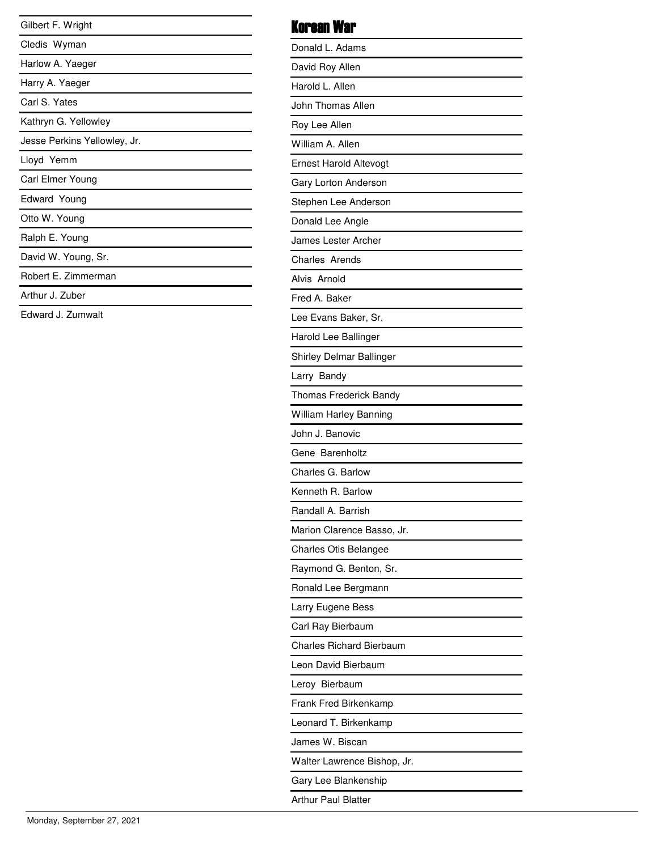| Gilbert F. Wright            |
|------------------------------|
| Cledis Wyman                 |
| Harlow A. Yaeger             |
| Harry A. Yaeger              |
| Carl S. Yates                |
| Kathryn G. Yellowley         |
| Jesse Perkins Yellowley, Jr. |
| Lloyd Yemm                   |
| Carl Elmer Young             |
| Edward Young                 |
| Otto W. Young                |
| Ralph E. Young               |
| David W. Young, Sr.          |
| Robert E. Zimmerman          |
| Arthur J. Zuber              |
| Fdward J. Zumwalt            |
|                              |

| Korean War                      |
|---------------------------------|
| Donald L. Adams                 |
| David Roy Allen                 |
| Harold L. Allen                 |
| John Thomas Allen               |
| Roy Lee Allen                   |
| William A. Allen                |
| <b>Ernest Harold Altevogt</b>   |
| Gary Lorton Anderson            |
| Stephen Lee Anderson            |
| Donald Lee Angle                |
| James Lester Archer             |
| Charles Arends                  |
| Alvis Arnold                    |
| Fred A. Baker                   |
| Lee Evans Baker, Sr.            |
| Harold Lee Ballinger            |
| Shirley Delmar Ballinger        |
| Larry Bandy                     |
| Thomas Frederick Bandy          |
| William Harley Banning          |
| John J. Banovic                 |
| Gene Barenholtz                 |
| Charles G. Barlow               |
| Kenneth R. Barlow               |
| Randall A. Barrish              |
| Marion Clarence Basso, Jr.      |
| Charles Otis Belangee           |
| Raymond G. Benton, Sr.          |
| Ronald Lee Bergmann             |
| Larry Eugene Bess               |
| Carl Ray Bierbaum               |
| <b>Charles Richard Bierbaum</b> |
| Leon David Bierbaum             |
| Leroy Bierbaum                  |
| Frank Fred Birkenkamp           |
| Leonard T. Birkenkamp           |
| James W. Biscan                 |
| Walter Lawrence Bishop, Jr.     |
| Gary Lee Blankenship            |
| <b>Arthur Paul Blatter</b>      |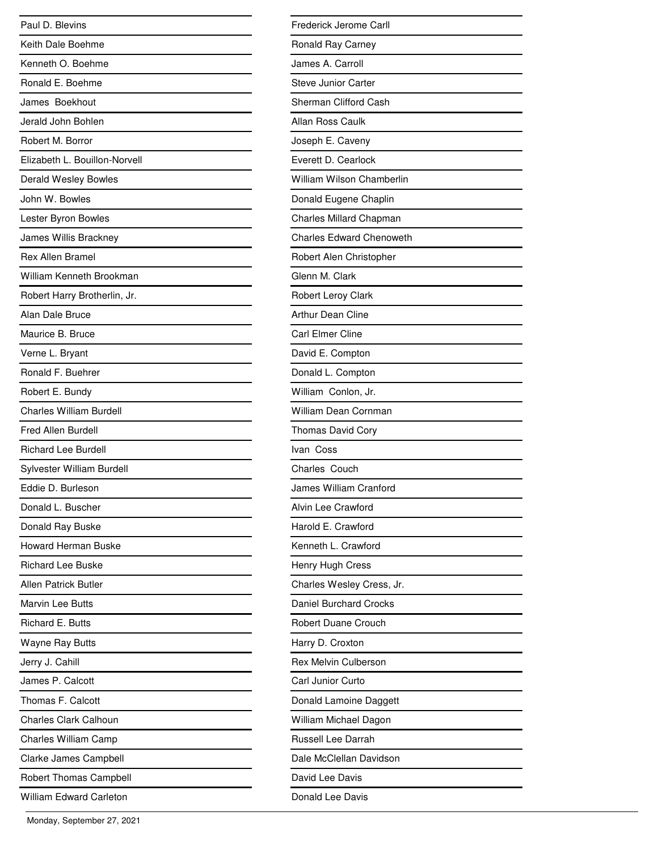| Paul D. Blevins                |
|--------------------------------|
| Keith Dale Boehme              |
| Kenneth O. Boehme              |
| Ronald E. Boehme               |
| James Boekhout                 |
| Jerald John Bohlen             |
| Robert M. Borror               |
| Elizabeth L. Bouillon-Norvell  |
| Derald Wesley Bowles           |
| John W. Bowles                 |
| Lester Byron Bowles            |
| James Willis Brackney          |
| <b>Rex Allen Bramel</b>        |
| William Kenneth Brookman       |
| Robert Harry Brotherlin, Jr.   |
| Alan Dale Bruce                |
| Maurice B. Bruce               |
| Verne L. Bryant                |
| Ronald F. Buehrer              |
| Robert E. Bundy                |
| <b>Charles William Burdell</b> |
| Fred Allen Burdell             |
| <b>Richard Lee Burdell</b>     |
| Sylvester William Burdell      |
| Eddie D. Burleson              |
| Donald L. Buscher              |
| Donald Ray Buske               |
| <b>Howard Herman Buske</b>     |
| <b>Richard Lee Buske</b>       |
| <b>Allen Patrick Butler</b>    |
| <b>Marvin Lee Butts</b>        |
| Richard E. Butts               |
| <b>Wayne Ray Butts</b>         |
| Jerry J. Cahill                |
| James P. Calcott               |
| Thomas F. Calcott              |
| <b>Charles Clark Calhoun</b>   |
| <b>Charles William Camp</b>    |
| Clarke James Campbell          |
| Robert Thomas Campbell         |
| <b>William Edward Carleton</b> |

| Frederick Jerome Carll          |
|---------------------------------|
| Ronald Ray Carney               |
| James A. Carroll                |
| <b>Steve Junior Carter</b>      |
| Sherman Clifford Cash           |
| Allan Ross Caulk                |
| Joseph E. Caveny                |
| Everett D. Cearlock             |
| William Wilson Chamberlin       |
| Donald Eugene Chaplin           |
| <b>Charles Millard Chapman</b>  |
| <b>Charles Edward Chenoweth</b> |
| Robert Alen Christopher         |
| Glenn M. Clark                  |
| Robert Leroy Clark              |
| Arthur Dean Cline               |
| Carl Elmer Cline                |
| David E. Compton                |
| Donald L. Compton               |
| William Conlon, Jr.             |
| <b>William Dean Cornman</b>     |
| Thomas David Cory               |
| Ivan Coss                       |
| Charles Couch                   |
| James William Cranford          |
| Alvin Lee Crawford              |
| Harold E. Crawford              |
| Kenneth L. Crawford             |
| Henry Hugh Cress                |
| Charles Wesley Cress, Jr.       |
| Daniel Burchard Crocks          |
| Robert Duane Crouch             |
| Harry D. Croxton                |
| <b>Rex Melvin Culberson</b>     |
| Carl Junior Curto               |
| Donald Lamoine Daggett          |
| William Michael Dagon           |
| <b>Russell Lee Darrah</b>       |
| Dale McClellan Davidson         |
| David Lee Davis                 |
| Donald Lee Davis                |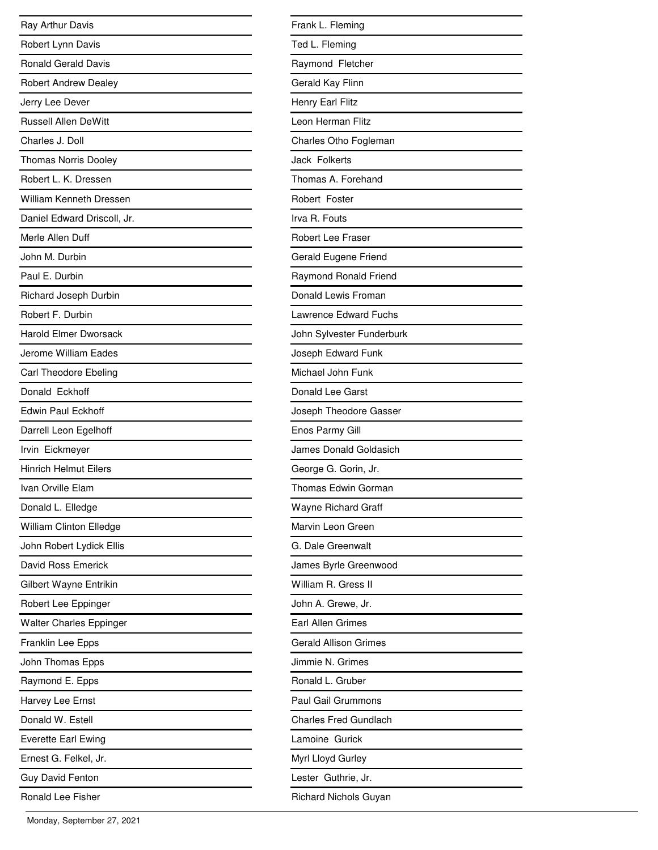| Ray Arthur Davis               |
|--------------------------------|
| Robert Lynn Davis              |
| <b>Ronald Gerald Davis</b>     |
| <b>Robert Andrew Dealey</b>    |
| Jerry Lee Dever                |
| <b>Russell Allen DeWitt</b>    |
| Charles J. Doll                |
| Thomas Norris Dooley           |
| Robert L. K. Dressen           |
| <b>William Kenneth Dressen</b> |
| Daniel Edward Driscoll, Jr.    |
| Merle Allen Duff               |
| John M. Durbin                 |
| Paul E. Durbin                 |
| <b>Richard Joseph Durbin</b>   |
| Robert F. Durbin               |
| <b>Harold Elmer Dworsack</b>   |
| Jerome William Eades           |
| Carl Theodore Ebeling          |
| Donald Eckhoff                 |
| <b>Edwin Paul Eckhoff</b>      |
| Darrell Leon Egelhoff          |
| Irvin Eickmeyer                |
| <b>Hinrich Helmut Eilers</b>   |
| Ivan Orville Elam              |
| Donald L. Elledge              |
| William Clinton Elledge        |
| John Robert Lydick Ellis       |
| David Ross Emerick             |
| Gilbert Wayne Entrikin         |
| Robert Lee Eppinger            |
| <b>Walter Charles Eppinger</b> |
| Franklin Lee Epps              |
| John Thomas Epps               |
| Raymond E. Epps                |
| Harvey Lee Ernst               |
| Donald W. Estell               |
| <b>Everette Earl Ewing</b>     |
| Ernest G. Felkel, Jr.          |
| <b>Guy David Fenton</b>        |
| Ronald Lee Fisher              |

| Frank L. Fleming             |
|------------------------------|
| Ted L. Fleming               |
| Raymond Fletcher             |
| Gerald Kay Flinn             |
| Henry Earl Flitz             |
| Leon Herman Flitz            |
| Charles Otho Fogleman        |
| Jack Folkerts                |
| Thomas A. Forehand           |
| Robert Foster                |
| Irva R. Fouts                |
| <b>Robert Lee Fraser</b>     |
| Gerald Eugene Friend         |
| Raymond Ronald Friend        |
| Donald Lewis Froman          |
| Lawrence Edward Fuchs        |
| John Sylvester Funderburk    |
| Joseph Edward Funk           |
| Michael John Funk            |
| Donald Lee Garst             |
| Joseph Theodore Gasser       |
| Enos Parmy Gill              |
| James Donald Goldasich       |
| George G. Gorin, Jr.         |
| Thomas Edwin Gorman          |
| Wayne Richard Graff          |
| Marvin Leon Green            |
| G. Dale Greenwalt            |
| James Byrle Greenwood        |
| William R. Gress II          |
| John A. Grewe, Jr.           |
| <b>Earl Allen Grimes</b>     |
| <b>Gerald Allison Grimes</b> |
| Jimmie N. Grimes             |
| Ronald L. Gruber             |
| Paul Gail Grummons           |
| <b>Charles Fred Gundlach</b> |
| Lamoine Gurick               |
| Myrl Lloyd Gurley            |
| Lester Guthrie, Jr.          |
| <b>Richard Nichols Guyan</b> |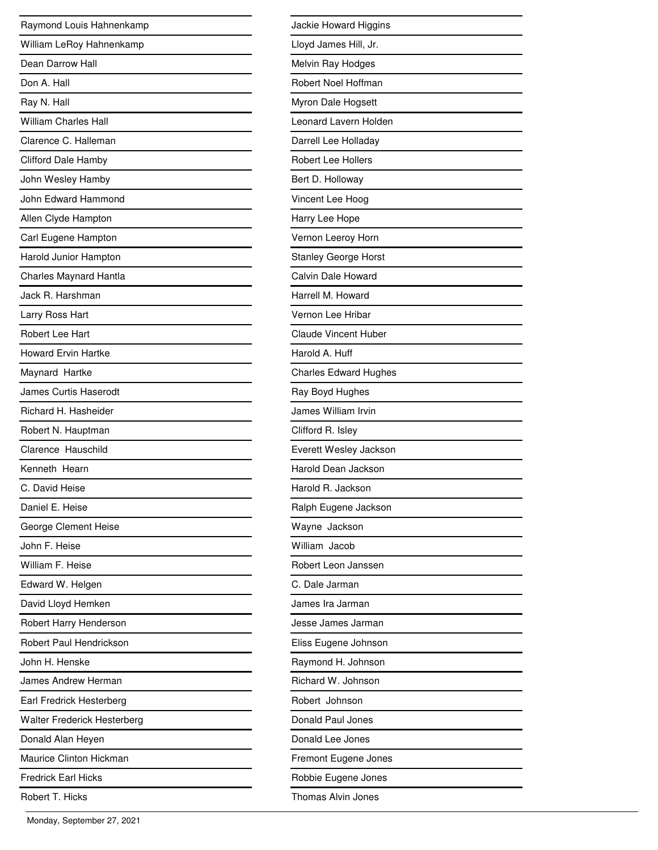| Raymond Louis Hahnenkamp     |
|------------------------------|
| William LeRoy Hahnenkamp     |
| Dean Darrow Hall             |
| Don A. Hall                  |
| Ray N. Hall                  |
| <b>William Charles Hall</b>  |
| Clarence C. Halleman         |
| <b>Clifford Dale Hamby</b>   |
| John Wesley Hamby            |
| John Edward Hammond          |
| Allen Clyde Hampton          |
| Carl Eugene Hampton          |
| Harold Junior Hampton        |
| Charles Maynard Hantla       |
| Jack R. Harshman             |
| Larry Ross Hart              |
| Robert Lee Hart              |
| <b>Howard Ervin Hartke</b>   |
| Maynard Hartke               |
| <b>James Curtis Haserodt</b> |
| Richard H. Hasheider         |
| Robert N. Hauptman           |
| Clarence Hauschild           |
| Kenneth Hearn                |
| C. David Heise               |
| Daniel E. Heise              |
| George Clement Heise         |
| John F. Heise                |
| William F. Heise             |
| Edward W. Helgen             |
| David Lloyd Hemken           |
| Robert Harry Henderson       |
| Robert Paul Hendrickson      |
| John H. Henske               |
| James Andrew Herman          |
| Earl Fredrick Hesterberg     |
| Walter Frederick Hesterberg  |
| Donald Alan Heyen            |
| Maurice Clinton Hickman      |
| Fredrick Earl Hicks          |
| Robert T. Hicks              |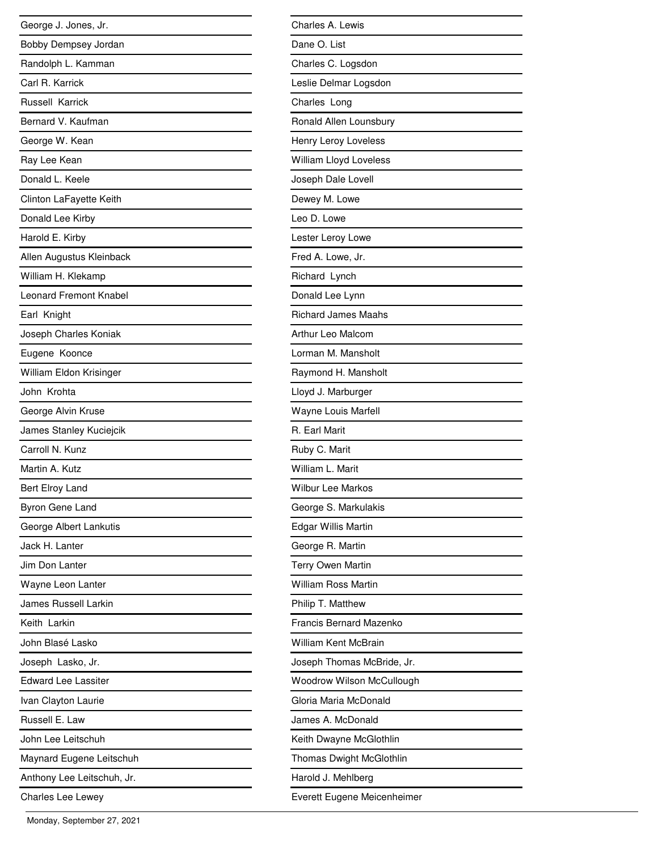| George J. Jones, Jr.          |
|-------------------------------|
| Bobby Dempsey Jordan          |
| Randolph L. Kamman            |
| Carl R. Karrick               |
| Russell Karrick               |
| Bernard V. Kaufman            |
| George W. Kean                |
| Ray Lee Kean                  |
| Donald L. Keele               |
| Clinton LaFayette Keith       |
| Donald Lee Kirby              |
| Harold E. Kirby               |
| Allen Augustus Kleinback      |
| William H. Klekamp            |
| <b>Leonard Fremont Knabel</b> |
| Earl Knight                   |
| Joseph Charles Koniak         |
| Eugene Koonce                 |
| William Eldon Krisinger       |
| John Krohta                   |
| George Alvin Kruse            |
| James Stanley Kuciejcik       |
| Carroll N. Kunz               |
| Martin A. Kutz                |
| Bert Elroy Land               |
| Byron Gene Land               |
| George Albert Lankutis        |
| Jack H. Lanter                |
| Jim Don Lanter                |
| Wayne Leon Lanter             |
| James Russell Larkin          |
| Keith Larkin                  |
| John Blasé Lasko              |
| Joseph Lasko, Jr.             |
| <b>Edward Lee Lassiter</b>    |
| Ivan Clayton Laurie           |
| Russell E. Law                |
| John Lee Leitschuh            |
| Maynard Eugene Leitschuh      |
| Anthony Lee Leitschuh, Jr.    |
| Charles Lee Lewey             |

| Charles A. Lewis            |
|-----------------------------|
| Dane O. List                |
| Charles C. Logsdon          |
| Leslie Delmar Logsdon       |
| Charles Long                |
| Ronald Allen Lounsbury      |
| Henry Leroy Loveless        |
| William Lloyd Loveless      |
| Joseph Dale Lovell          |
| Dewey M. Lowe               |
| Leo D. Lowe                 |
| Lester Leroy Lowe           |
| Fred A. Lowe, Jr.           |
| Richard Lynch               |
| Donald Lee Lynn             |
| <b>Richard James Maahs</b>  |
| Arthur Leo Malcom           |
| Lorman M. Mansholt          |
| Raymond H. Mansholt         |
| Lloyd J. Marburger          |
| Wayne Louis Marfell         |
| R. Earl Marit               |
| Ruby C. Marit               |
| William L. Marit            |
| <b>Wilbur Lee Markos</b>    |
| George S. Markulakis        |
| Edgar Willis Martin         |
| George R. Martin            |
| <b>Terry Owen Martin</b>    |
| <b>William Ross Martin</b>  |
| Philip T. Matthew           |
| Francis Bernard Mazenko     |
| <b>William Kent McBrain</b> |
| Joseph Thomas McBride, Jr.  |
| Woodrow Wilson McCullough   |
| Gloria Maria McDonald       |
| James A. McDonald           |
| Keith Dwayne McGlothlin     |
| Thomas Dwight McGlothlin    |
| Harold J. Mehlberg          |
| Everett Eugene Meicenheimer |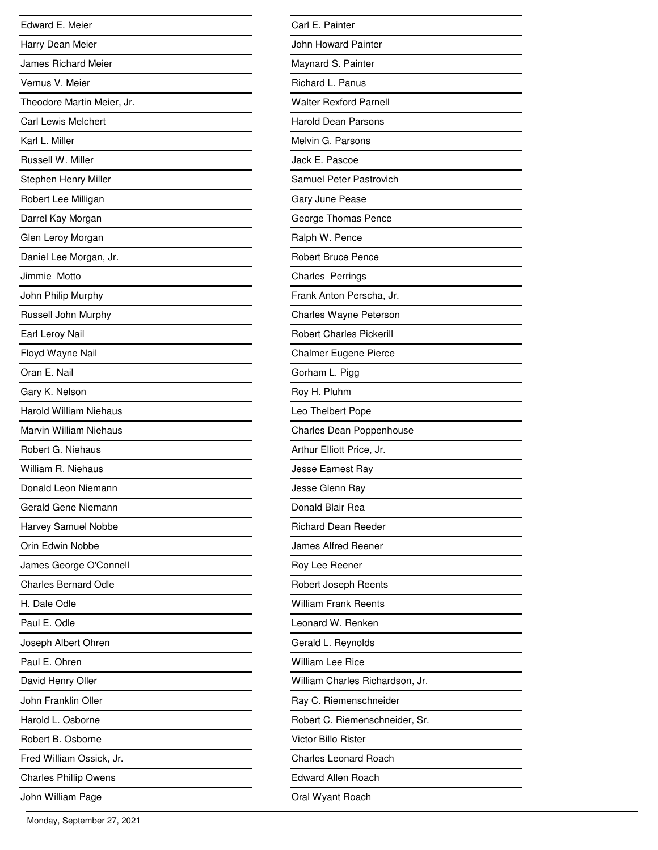| Edward E. Meier               |
|-------------------------------|
| Harry Dean Meier              |
| <b>James Richard Meier</b>    |
| Vernus V. Meier               |
| Theodore Martin Meier, Jr.    |
| <b>Carl Lewis Melchert</b>    |
| Karl L. Miller                |
| Russell W. Miller             |
| Stephen Henry Miller          |
| Robert Lee Milligan           |
| Darrel Kay Morgan             |
| Glen Leroy Morgan             |
| Daniel Lee Morgan, Jr.        |
| Jimmie Motto                  |
| John Philip Murphy            |
| Russell John Murphy           |
| Earl Leroy Nail               |
| Floyd Wayne Nail              |
| Oran E. Nail                  |
| Gary K. Nelson                |
| <b>Harold William Niehaus</b> |
| Marvin William Niehaus        |
| Robert G. Niehaus             |
| William R. Niehaus            |
| Donald Leon Niemann           |
| Gerald Gene Niemann           |
| Harvey Samuel Nobbe           |
| Orin Edwin Nobbe              |
| James George O'Connell        |
| <b>Charles Bernard Odle</b>   |
| H. Dale Odle                  |
| Paul E. Odle                  |
| Joseph Albert Ohren           |
| Paul E. Ohren                 |
| David Henry Oller             |
| John Franklin Oller           |
| Harold L. Osborne             |
| Robert B. Osborne             |
| Fred William Ossick, Jr.      |
| <b>Charles Phillip Owens</b>  |
| John William Page             |

| Carl E. Painter                 |
|---------------------------------|
| John Howard Painter             |
| Maynard S. Painter              |
| Richard L. Panus                |
| <b>Walter Rexford Parnell</b>   |
| <b>Harold Dean Parsons</b>      |
| Melvin G. Parsons               |
| Jack E. Pascoe                  |
| Samuel Peter Pastrovich         |
| Gary June Pease                 |
| George Thomas Pence             |
| Ralph W. Pence                  |
| <b>Robert Bruce Pence</b>       |
| <b>Charles Perrings</b>         |
| Frank Anton Perscha, Jr.        |
| Charles Wayne Peterson          |
| <b>Robert Charles Pickerill</b> |
| Chalmer Eugene Pierce           |
| Gorham L. Pigg                  |
| Roy H. Pluhm                    |
| Leo Thelbert Pope               |
| Charles Dean Poppenhouse        |
| Arthur Elliott Price, Jr.       |
| Jesse Earnest Ray               |
| Jesse Glenn Ray                 |
| Donald Blair Rea                |
| <b>Richard Dean Reeder</b>      |
| <b>James Alfred Reener</b>      |
| Roy Lee Reener                  |
| Robert Joseph Reents            |
| <b>William Frank Reents</b>     |
| Leonard W. Renken               |
| Gerald L. Reynolds              |
| <b>William Lee Rice</b>         |
| William Charles Richardson, Jr. |
| Ray C. Riemenschneider          |
| Robert C. Riemenschneider, Sr.  |
| Victor Billo Rister             |
| <b>Charles Leonard Roach</b>    |
| Edward Allen Roach              |
| Oral Wyant Roach                |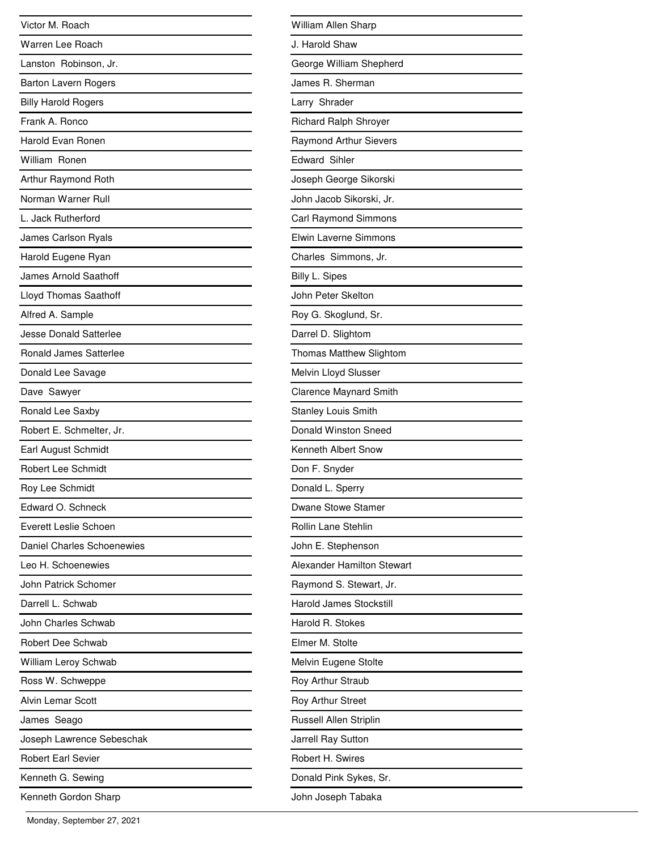| Victor M. Roach               |
|-------------------------------|
| Warren Lee Roach              |
| Lanston Robinson, Jr.         |
| <b>Barton Lavern Rogers</b>   |
| <b>Billy Harold Rogers</b>    |
| Frank A. Ronco                |
| Harold Evan Ronen             |
| William Ronen                 |
| Arthur Raymond Roth           |
| Norman Warner Rull            |
| L. Jack Rutherford            |
| James Carlson Ryals           |
| Harold Eugene Ryan            |
| James Arnold Saathoff         |
| <b>Lloyd Thomas Saathoff</b>  |
| Alfred A. Sample              |
| <b>Jesse Donald Satterlee</b> |
| <b>Ronald James Satterlee</b> |
| Donald Lee Savage             |
| Dave Sawyer                   |
| Ronald Lee Saxby              |
| Robert E. Schmelter, Jr.      |
| Earl August Schmidt           |
| Robert Lee Schmidt            |
| Roy Lee Schmidt               |
| Edward O. Schneck             |
| Everett Leslie Schoen         |
| Daniel Charles Schoenewies    |
| Leo H. Schoenewies            |
| John Patrick Schomer          |
| Darrell L. Schwab             |
| John Charles Schwab           |
| Robert Dee Schwab             |
| William Leroy Schwab          |
| Ross W. Schweppe              |
| <b>Alvin Lemar Scott</b>      |
| James Seago                   |
| Joseph Lawrence Sebeschak     |
| <b>Robert Earl Sevier</b>     |
| Kenneth G. Sewing             |
| Kenneth Gordon Sharp          |

| William Allen Sharp               |
|-----------------------------------|
| J. Harold Shaw                    |
| George William Shepherd           |
| James R. Sherman                  |
| Larry Shrader                     |
| <b>Richard Ralph Shroyer</b>      |
| <b>Raymond Arthur Sievers</b>     |
| <b>Edward Sihler</b>              |
| Joseph George Sikorski            |
| John Jacob Sikorski, Jr.          |
| Carl Raymond Simmons              |
| Elwin Laverne Simmons             |
| Charles Simmons, Jr.              |
| <b>Billy L. Sipes</b>             |
| John Peter Skelton                |
| Roy G. Skoglund, Sr.              |
| Darrel D. Slightom                |
| Thomas Matthew Slightom           |
| Melvin Lloyd Slusser              |
| <b>Clarence Maynard Smith</b>     |
| <b>Stanley Louis Smith</b>        |
| Donald Winston Sneed              |
| Kenneth Albert Snow               |
| Don F. Snyder                     |
| Donald L. Sperry                  |
| Dwane Stowe Stamer                |
| Rollin Lane Stehlin               |
| John E. Stephenson                |
| <b>Alexander Hamilton Stewart</b> |
| Raymond S. Stewart, Jr.           |
| <b>Harold James Stockstill</b>    |
| Harold R. Stokes                  |
| Elmer M. Stolte                   |
| Melvin Eugene Stolte              |
| Roy Arthur Straub                 |
| Roy Arthur Street                 |
| Russell Allen Striplin            |
| Jarrell Ray Sutton                |
| Robert H. Swires                  |
| Donald Pink Sykes, Sr.            |
| John Joseph Tabaka                |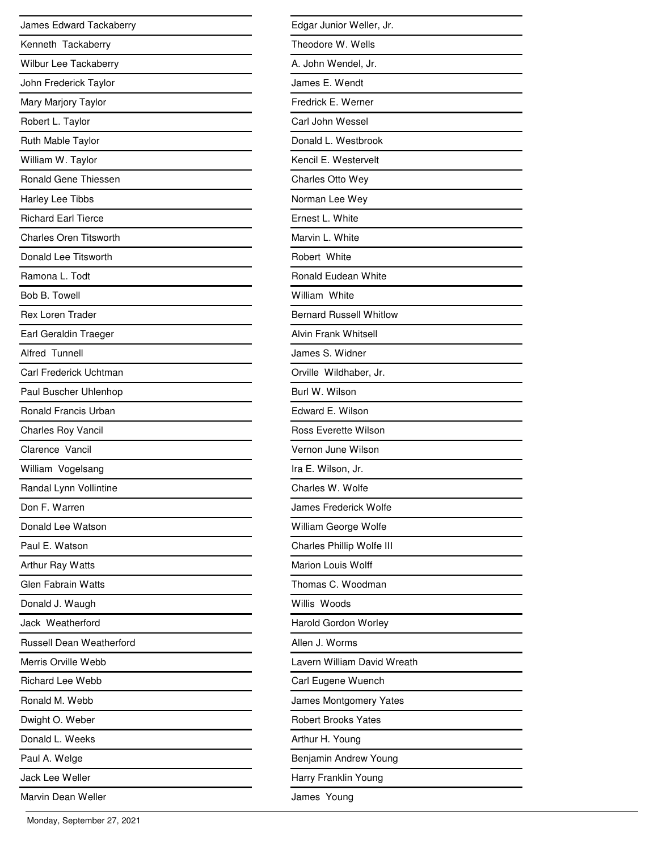| James Edward Tackaberry         |
|---------------------------------|
| Kenneth Tackaberry              |
| Wilbur Lee Tackaberry           |
| John Frederick Taylor           |
| Mary Marjory Taylor             |
| Robert L. Taylor                |
| Ruth Mable Taylor               |
| William W. Taylor               |
| <b>Ronald Gene Thiessen</b>     |
| Harley Lee Tibbs                |
| <b>Richard Earl Tierce</b>      |
| <b>Charles Oren Titsworth</b>   |
| Donald Lee Titsworth            |
| Ramona L. Todt                  |
| Bob B. Towell                   |
| <b>Rex Loren Trader</b>         |
| Earl Geraldin Traeger           |
| Alfred Tunnell                  |
| Carl Frederick Uchtman          |
| Paul Buscher Uhlenhop           |
| <b>Ronald Francis Urban</b>     |
| <b>Charles Roy Vancil</b>       |
| Clarence Vancil                 |
| William Vogelsang               |
| Randal Lynn Vollintine          |
| Don F. Warren                   |
| Donald Lee Watson               |
| Paul E. Watson                  |
| Arthur Ray Watts                |
| <b>Glen Fabrain Watts</b>       |
| Donald J. Waugh                 |
| Jack Weatherford                |
| <b>Russell Dean Weatherford</b> |
| Merris Orville Webb             |
| <b>Richard Lee Webb</b>         |
| Ronald M. Webb                  |
| Dwight O. Weber                 |
| Donald L. Weeks                 |
| Paul A. Welge                   |
| Jack Lee Weller                 |
| Marvin Dean Weller              |

| Edgar Junior Weller, Jr.       |
|--------------------------------|
| Theodore W. Wells              |
| A. John Wendel, Jr.            |
| James E. Wendt                 |
| Fredrick E. Werner             |
| Carl John Wessel               |
| Donald L. Westbrook            |
| Kencil E. Westervelt           |
| <b>Charles Otto Wey</b>        |
| Norman Lee Wey                 |
| Ernest L. White                |
| Marvin L. White                |
| Robert White                   |
| Ronald Eudean White            |
| William White                  |
| <b>Bernard Russell Whitlow</b> |
| <b>Alvin Frank Whitsell</b>    |
| James S. Widner                |
| Orville Wildhaber, Jr.         |
| Burl W. Wilson                 |
| Edward E. Wilson               |
| <b>Ross Everette Wilson</b>    |
| Vernon June Wilson             |
| Ira E. Wilson, Jr.             |
| Charles W. Wolfe               |
| James Frederick Wolfe          |
| William George Wolfe           |
| Charles Phillip Wolfe III      |
| Marion Louis Wolff             |
| Thomas C. Woodman              |
| Willis Woods                   |
| <b>Harold Gordon Worley</b>    |
| Allen J. Worms                 |
| Lavern William David Wreath    |
| Carl Eugene Wuench             |
| James Montgomery Yates         |
| <b>Robert Brooks Yates</b>     |
| Arthur H. Young                |
| Benjamin Andrew Young          |
| Harry Franklin Young           |
| James Young                    |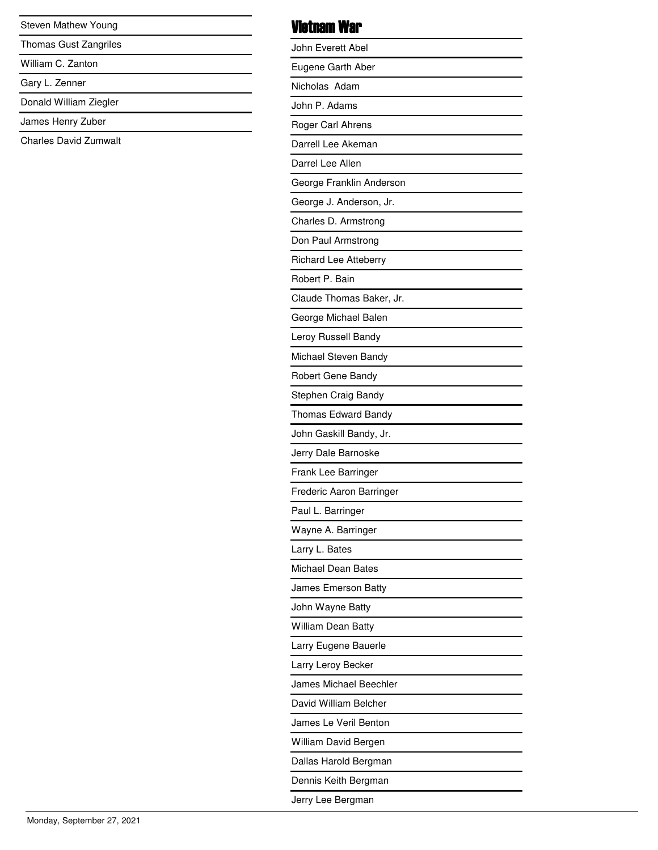Steven Mathew Young

Thomas Gust Zangriles

William C. Zanton

Gary L. Zenner

Donald William Ziegler

James Henry Zuber

Charles David Zumwalt

#### Vietnam War

| John Everett Abel            |
|------------------------------|
| Eugene Garth Aber            |
| Nicholas Adam                |
| John P. Adams                |
| Roger Carl Ahrens            |
| Darrell Lee Akeman           |
| Darrel Lee Allen             |
| George Franklin Anderson     |
| George J. Anderson, Jr.      |
| Charles D. Armstrong         |
| Don Paul Armstrong           |
| <b>Richard Lee Atteberry</b> |
| Robert P. Bain               |
| Claude Thomas Baker, Jr.     |
| George Michael Balen         |
| Leroy Russell Bandy          |
| Michael Steven Bandy         |
| Robert Gene Bandy            |
| Stephen Craig Bandy          |
| Thomas Edward Bandy          |
| John Gaskill Bandy, Jr.      |
| Jerry Dale Barnoske          |
| Frank Lee Barringer          |
| Frederic Aaron Barringer     |
| Paul L. Barringer            |
| Wayne A. Barringer           |
| Larry L. Bates               |
| Michael Dean Bates           |
| James Emerson Batty          |
| John Wayne Batty             |
| <b>William Dean Batty</b>    |
| Larry Eugene Bauerle         |
| Larry Leroy Becker           |
| James Michael Beechler       |
| David William Belcher        |
| James Le Veril Benton        |
| William David Bergen         |
| Dallas Harold Bergman        |
| Dennis Keith Bergman         |
| Jerry Lee Bergman            |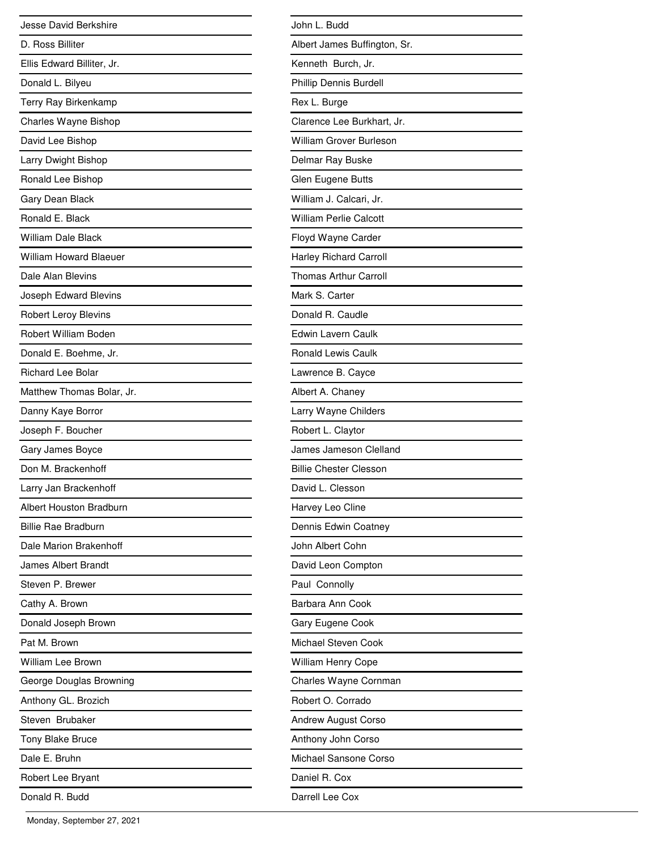| Jesse David Berkshire          |
|--------------------------------|
| D. Ross Billiter               |
| Ellis Edward Billiter, Jr.     |
| Donald L. Bilyeu               |
| Terry Ray Birkenkamp           |
| Charles Wayne Bishop           |
| David Lee Bishop               |
| Larry Dwight Bishop            |
| Ronald Lee Bishop              |
| Gary Dean Black                |
| Ronald E. Black                |
| <b>William Dale Black</b>      |
| <b>William Howard Blaeuer</b>  |
| Dale Alan Blevins              |
| Joseph Edward Blevins          |
| <b>Robert Leroy Blevins</b>    |
| Robert William Boden           |
| Donald E. Boehme, Jr.          |
| <b>Richard Lee Bolar</b>       |
| Matthew Thomas Bolar, Jr.      |
| Danny Kaye Borror              |
| Joseph F. Boucher              |
| Gary James Boyce               |
| Don M. Brackenhoff             |
| Larry Jan Brackenhoff          |
| <b>Albert Houston Bradburn</b> |
| Billie Rae Bradburn            |
| Dale Marion Brakenhoff         |
| James Albert Brandt            |
| Steven P. Brewer               |
| Cathy A. Brown                 |
| Donald Joseph Brown            |
| Pat M. Brown                   |
| <b>William Lee Brown</b>       |
| George Douglas Browning        |
| Anthony GL. Brozich            |
| Steven Brubaker                |
| Tony Blake Bruce               |
| Dale E. Bruhn                  |
| Robert Lee Bryant              |
| Donald R. Budd                 |

| John L. Budd                   |
|--------------------------------|
| Albert James Buffington, Sr.   |
| Kenneth Burch, Jr.             |
| Phillip Dennis Burdell         |
| Rex L. Burge                   |
| Clarence Lee Burkhart, Jr.     |
| <b>William Grover Burleson</b> |
| Delmar Ray Buske               |
| Glen Eugene Butts              |
| William J. Calcari, Jr.        |
| <b>William Perlie Calcott</b>  |
| Floyd Wayne Carder             |
| <b>Harley Richard Carroll</b>  |
| <b>Thomas Arthur Carroll</b>   |
| Mark S. Carter                 |
| Donald R. Caudle               |
| Edwin Lavern Caulk             |
| <b>Ronald Lewis Caulk</b>      |
| Lawrence B. Cayce              |
| Albert A. Chaney               |
| Larry Wayne Childers           |
| Robert L. Claytor              |
| James Jameson Clelland         |
| <b>Billie Chester Clesson</b>  |
| David L. Clesson               |
| Harvey Leo Cline               |
| Dennis Edwin Coatney           |
| John Albert Cohn               |
| David Leon Compton             |
| Paul Connolly                  |
| Barbara Ann Cook               |
| Gary Eugene Cook               |
| Michael Steven Cook            |
| William Henry Cope             |
| Charles Wayne Cornman          |
| Robert O. Corrado              |
| <b>Andrew August Corso</b>     |
| Anthony John Corso             |
| Michael Sansone Corso          |
| Daniel R. Cox                  |
| Darrell Lee Cox                |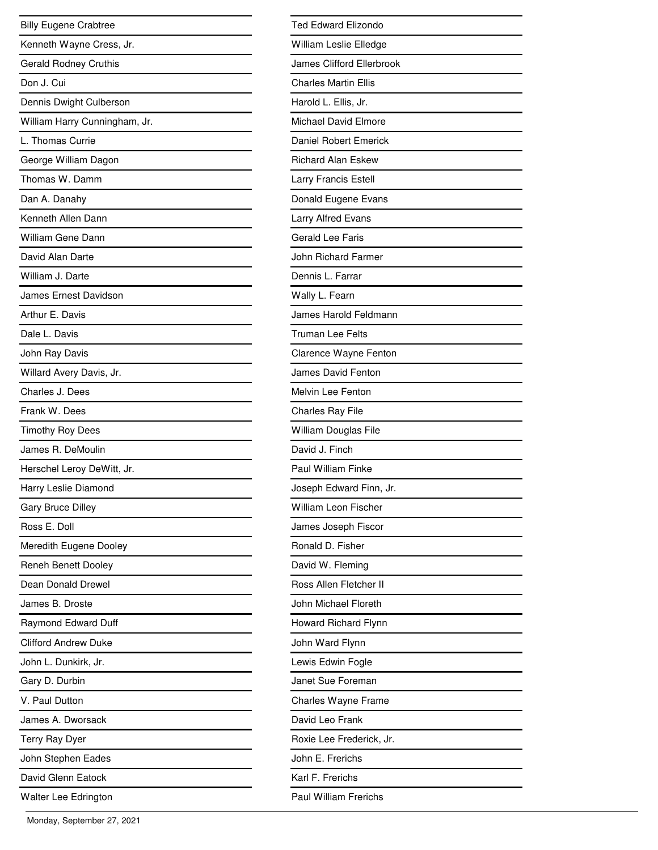| <b>Billy Eugene Crabtree</b>  |
|-------------------------------|
| Kenneth Wayne Cress, Jr.      |
| <b>Gerald Rodney Cruthis</b>  |
| Don J. Cui                    |
| Dennis Dwight Culberson       |
| William Harry Cunningham, Jr. |
| L. Thomas Currie              |
| George William Dagon          |
| Thomas W. Damm                |
| Dan A. Danahy                 |
| Kenneth Allen Dann            |
| William Gene Dann             |
| David Alan Darte              |
| William J. Darte              |
| James Ernest Davidson         |
| Arthur E. Davis               |
| Dale L. Davis                 |
| John Ray Davis                |
| Willard Avery Davis, Jr.      |
| Charles J. Dees               |
| Frank W. Dees                 |
| <b>Timothy Roy Dees</b>       |
| James R. DeMoulin             |
| Herschel Leroy DeWitt, Jr.    |
| Harry Leslie Diamond          |
| <b>Gary Bruce Dilley</b>      |
| Ross E. Doll                  |
| Meredith Eugene Dooley        |
| <b>Reneh Benett Dooley</b>    |
| Dean Donald Drewel            |
| James B. Droste               |
| Raymond Edward Duff           |
| <b>Clifford Andrew Duke</b>   |
| John L. Dunkirk, Jr.          |
| Gary D. Durbin                |
| V. Paul Dutton                |
| James A. Dworsack             |
| Terry Ray Dyer                |
| John Stephen Eades            |
| David Glenn Eatock            |
| Walter Lee Edrington          |

| <b>Ted Edward Elizondo</b>   |
|------------------------------|
| William Leslie Elledge       |
| James Clifford Ellerbrook    |
| <b>Charles Martin Ellis</b>  |
| Harold L. Ellis, Jr.         |
| Michael David Elmore         |
| <b>Daniel Robert Emerick</b> |
| <b>Richard Alan Eskew</b>    |
| Larry Francis Estell         |
| Donald Eugene Evans          |
| <b>Larry Alfred Evans</b>    |
| Gerald Lee Faris             |
| John Richard Farmer          |
| Dennis L. Farrar             |
| Wally L. Fearn               |
| James Harold Feldmann        |
| Truman Lee Felts             |
| Clarence Wayne Fenton        |
| James David Fenton           |
| Melvin Lee Fenton            |
| Charles Ray File             |
| William Douglas File         |
| David J. Finch               |
| Paul William Finke           |
| Joseph Edward Finn, Jr.      |
| William Leon Fischer         |
| James Joseph Fiscor          |
| Ronald D. Fisher             |
| David W. Fleming             |
| Ross Allen Fletcher II       |
| John Michael Floreth         |
| Howard Richard Flynn         |
| John Ward Flynn              |
| Lewis Edwin Fogle            |
| Janet Sue Foreman            |
| Charles Wayne Frame          |
| David Leo Frank              |
| Roxie Lee Frederick, Jr.     |
| John E. Frerichs             |
| Karl F. Frerichs             |
| Paul William Frerichs        |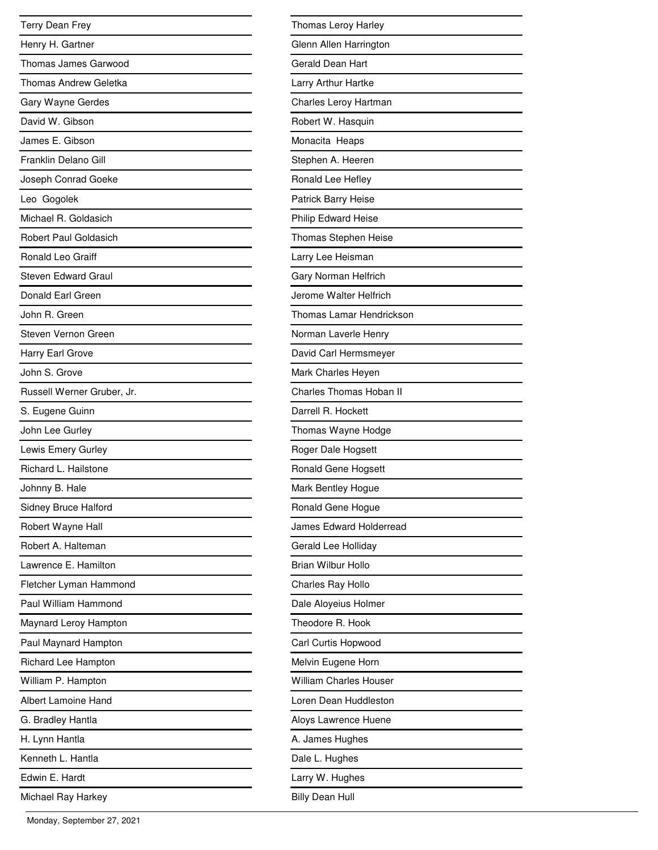| Terry Dean Frey              |
|------------------------------|
| Henry H. Gartner             |
| Thomas James Garwood         |
| Thomas Andrew Geletka        |
| Gary Wayne Gerdes            |
| David W. Gibson              |
| James E. Gibson              |
| Franklin Delano Gill         |
| Joseph Conrad Goeke          |
| Leo Gogolek                  |
| Michael R. Goldasich         |
| <b>Robert Paul Goldasich</b> |
| Ronald Leo Graiff            |
| <b>Steven Edward Graul</b>   |
| Donald Earl Green            |
| John R. Green                |
| Steven Vernon Green          |
| Harry Earl Grove             |
| John S. Grove                |
| Russell Werner Gruber, Jr.   |
| S. Eugene Guinn              |
| John Lee Gurley              |
| Lewis Emery Gurley           |
| Richard L. Hailstone         |
| Johnny B. Hale               |
| Sidney Bruce Halford         |
| Robert Wayne Hall            |
| Robert A. Halteman           |
| Lawrence E. Hamilton         |
| Fletcher Lyman Hammond       |
| Paul William Hammond         |
| Maynard Leroy Hampton        |
| Paul Maynard Hampton         |
| Richard Lee Hampton          |
| William P. Hampton           |
| Albert Lamoine Hand          |
| G. Bradley Hantla            |
| H. Lynn Hantla               |
| Kenneth L. Hantla            |
| Edwin E. Hardt               |
| Michael Ray Harkey           |

| Thomas Leroy Harley             |
|---------------------------------|
| Glenn Allen Harrington          |
| Gerald Dean Hart                |
| Larry Arthur Hartke             |
| Charles Leroy Hartman           |
| Robert W. Hasquin               |
| Monacita Heaps                  |
| Stephen A. Heeren               |
| Ronald Lee Hefley               |
| Patrick Barry Heise             |
| Philip Edward Heise             |
| Thomas Stephen Heise            |
| Larry Lee Heisman               |
| Gary Norman Helfrich            |
| Jerome Walter Helfrich          |
| <b>Thomas Lamar Hendrickson</b> |
| Norman Laverle Henry            |
| David Carl Hermsmeyer           |
| Mark Charles Heyen              |
| <b>Charles Thomas Hoban II</b>  |
| Darrell R. Hockett              |
| Thomas Wayne Hodge              |
| Roger Dale Hogsett              |
| Ronald Gene Hogsett             |
| Mark Bentley Hogue              |
| Ronald Gene Hogue               |
| James Edward Holderread         |
| Gerald Lee Holliday             |
| Brian Wilbur Hollo              |
| Charles Ray Hollo               |
| Dale Aloyeius Holmer            |
| Theodore R. Hook                |
| Carl Curtis Hopwood             |
| Melvin Eugene Horn              |
| <b>William Charles Houser</b>   |
| Loren Dean Huddleston           |
| Aloys Lawrence Huene            |
| A. James Hughes                 |
| Dale L. Hughes                  |
| Larry W. Hughes                 |
| <b>Billy Dean Hull</b>          |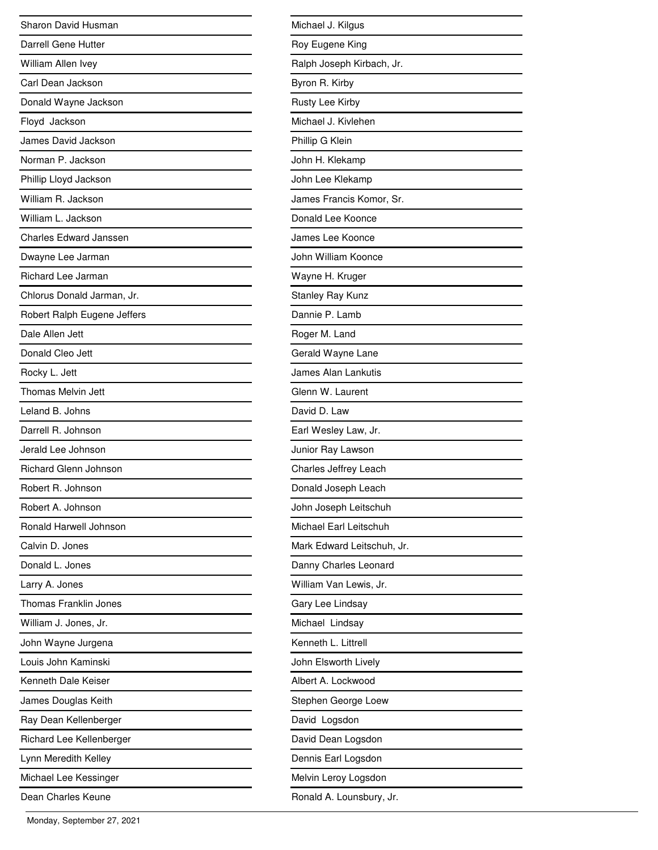| Sharon David Husman           |
|-------------------------------|
| <b>Darrell Gene Hutter</b>    |
| William Allen Ivey            |
| Carl Dean Jackson             |
| Donald Wayne Jackson          |
| Floyd Jackson                 |
| James David Jackson           |
| Norman P. Jackson             |
| Phillip Lloyd Jackson         |
| William R. Jackson            |
| William L. Jackson            |
| <b>Charles Edward Janssen</b> |
| Dwayne Lee Jarman             |
| <b>Richard Lee Jarman</b>     |
| Chlorus Donald Jarman, Jr.    |
| Robert Ralph Eugene Jeffers   |
| Dale Allen Jett               |
| Donald Cleo Jett              |
| Rocky L. Jett                 |
| Thomas Melvin Jett            |
| Leland B. Johns               |
| Darrell R. Johnson            |
| Jerald Lee Johnson            |
| <b>Richard Glenn Johnson</b>  |
| Robert R. Johnson             |
| Robert A. Johnson             |
| Ronald Harwell Johnson        |
| Calvin D. Jones               |
| Donald L. Jones               |
| Larry A. Jones                |
| Thomas Franklin Jones         |
| William J. Jones, Jr.         |
| John Wayne Jurgena            |
| Louis John Kaminski           |
| Kenneth Dale Keiser           |
| James Douglas Keith           |
| Ray Dean Kellenberger         |
| Richard Lee Kellenberger      |
| Lynn Meredith Kelley          |
| Michael Lee Kessinger         |
| Dean Charles Keune            |

| Michael J. Kilgus          |
|----------------------------|
| Roy Eugene King            |
| Ralph Joseph Kirbach, Jr.  |
| Byron R. Kirby             |
| Rusty Lee Kirby            |
| Michael J. Kivlehen        |
| Phillip G Klein            |
| John H. Klekamp            |
| John Lee Klekamp           |
| James Francis Komor, Sr.   |
| Donald Lee Koonce          |
| James Lee Koonce           |
| John William Koonce        |
| Wayne H. Kruger            |
| Stanley Ray Kunz           |
| Dannie P. Lamb             |
| Roger M. Land              |
| Gerald Wayne Lane          |
| James Alan Lankutis        |
| Glenn W. Laurent           |
| David D. Law               |
| Earl Wesley Law, Jr.       |
| Junior Ray Lawson          |
| Charles Jeffrey Leach      |
| Donald Joseph Leach        |
| John Joseph Leitschuh      |
| Michael Earl Leitschuh     |
| Mark Edward Leitschuh, Jr. |
| Danny Charles Leonard      |
| William Van Lewis, Jr.     |
| Gary Lee Lindsay           |
| Michael Lindsay            |
| Kenneth L. Littrell        |
| John Elsworth Lively       |
| Albert A. Lockwood         |
| Stephen George Loew        |
| David Logsdon              |
| David Dean Logsdon         |
| Dennis Earl Logsdon        |
| Melvin Leroy Logsdon       |
| Ronald A. Lounsbury, Jr.   |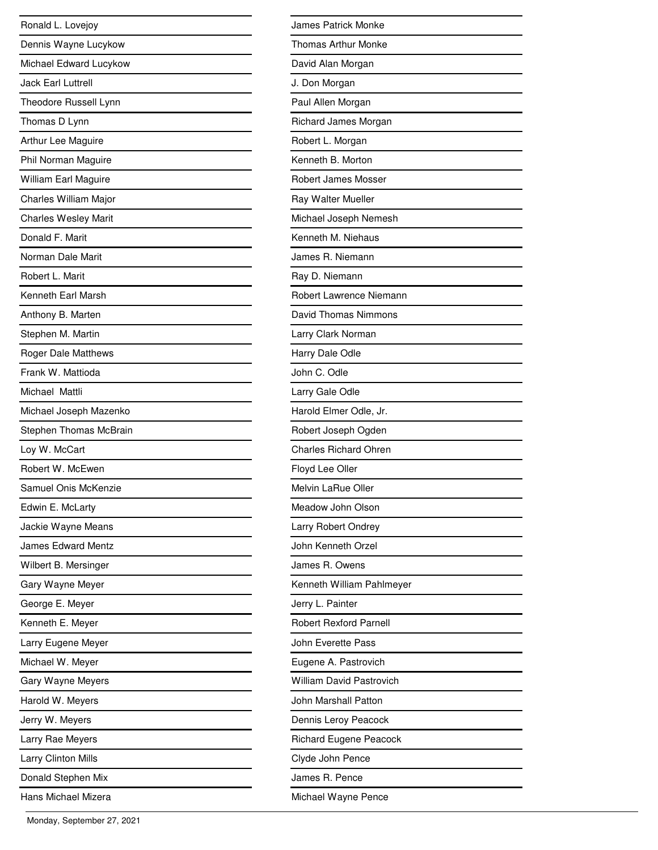| Ronald L. Lovejoy           |
|-----------------------------|
| Dennis Wayne Lucykow        |
| Michael Edward Lucykow      |
| Jack Farl Luttrell          |
| Theodore Russell Lynn       |
| Thomas D Lynn               |
| Arthur Lee Maguire          |
| Phil Norman Maguire         |
| William Earl Maguire        |
| Charles William Major       |
| <b>Charles Wesley Marit</b> |
| Donald F. Marit             |
| Norman Dale Marit           |
| Robert L. Marit             |
| Kenneth Earl Marsh          |
| Anthony B. Marten           |
| Stephen M. Martin           |
| Roger Dale Matthews         |
| Frank W. Mattioda           |
| Michael Mattli              |
| Michael Joseph Mazenko      |
| Stephen Thomas McBrain      |
| Loy W. McCart               |
| Robert W. McEwen            |
| Samuel Onis McKenzie        |
| Edwin E. McLarty            |
| Jackie Wayne Means          |
| <b>James Edward Mentz</b>   |
| Wilbert B. Mersinger        |
| Gary Wayne Meyer            |
| George E. Meyer             |
| Kenneth E. Meyer            |
| Larry Eugene Meyer          |
| Michael W. Meyer            |
| Gary Wayne Meyers           |
| Harold W. Meyers            |
| Jerry W. Meyers             |
| Larry Rae Meyers            |
| <b>Larry Clinton Mills</b>  |
| Donald Stephen Mix          |
| Hans Michael Mizera         |

| <b>James Patrick Monke</b>      |
|---------------------------------|
| <b>Thomas Arthur Monke</b>      |
| David Alan Morgan               |
| J. Don Morgan                   |
| Paul Allen Morgan               |
| Richard James Morgan            |
| Robert L. Morgan                |
| Kenneth B. Morton               |
| Robert James Mosser             |
| Ray Walter Mueller              |
| Michael Joseph Nemesh           |
| Kenneth M. Niehaus              |
| James R. Niemann                |
| Ray D. Niemann                  |
| Robert Lawrence Niemann         |
| David Thomas Nimmons            |
| Larry Clark Norman              |
| Harry Dale Odle                 |
| John C. Odle                    |
| Larry Gale Odle                 |
| Harold Elmer Odle, Jr.          |
| Robert Joseph Ogden             |
| <b>Charles Richard Ohren</b>    |
| Floyd Lee Oller                 |
| Melvin LaRue Oller              |
| Meadow John Olson               |
| Larry Robert Ondrey             |
| John Kenneth Orzel              |
| James R. Owens                  |
| Kenneth William Pahlmeyer       |
| Jerry L. Painter                |
| <b>Robert Rexford Parnell</b>   |
| John Everette Pass              |
| Eugene A. Pastrovich            |
| <b>William David Pastrovich</b> |
| John Marshall Patton            |
| Dennis Leroy Peacock            |
| <b>Richard Eugene Peacock</b>   |
| Clyde John Pence                |
| James R. Pence                  |
| Michael Wayne Pence             |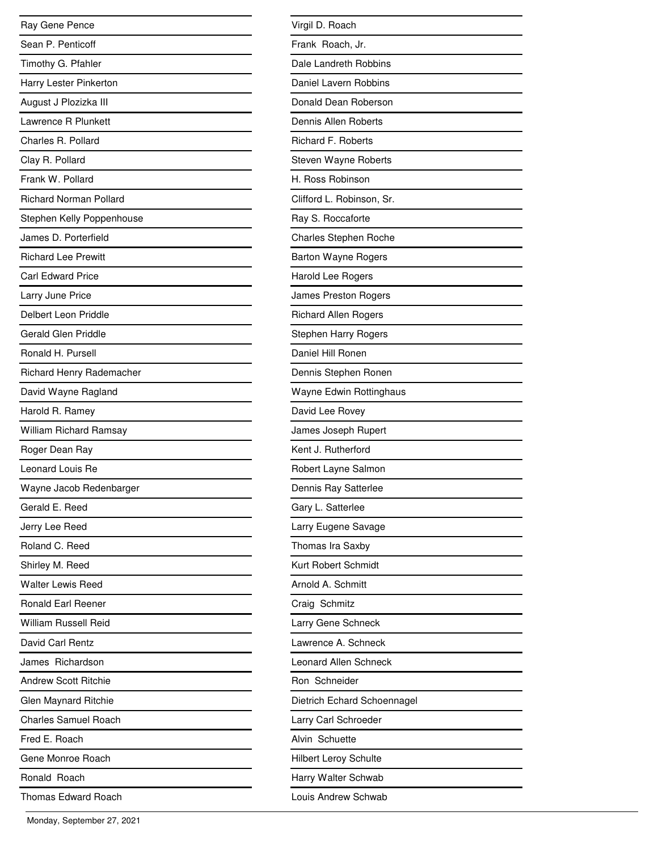| Ray Gene Pence                |
|-------------------------------|
| Sean P. Penticoff             |
| Timothy G. Pfahler            |
| Harry Lester Pinkerton        |
| August J Plozizka III         |
| Lawrence R Plunkett           |
| Charles R. Pollard            |
| Clay R. Pollard               |
| Frank W. Pollard              |
| <b>Richard Norman Pollard</b> |
| Stephen Kelly Poppenhouse     |
| James D. Porterfield          |
| <b>Richard Lee Prewitt</b>    |
| <b>Carl Edward Price</b>      |
| Larry June Price              |
| Delbert Leon Priddle          |
| <b>Gerald Glen Priddle</b>    |
| Ronald H. Pursell             |
| Richard Henry Rademacher      |
| David Wayne Ragland           |
| Harold R. Ramey               |
| William Richard Ramsay        |
| Roger Dean Ray                |
| Leonard Louis Re              |
| Wayne Jacob Redenbarger       |
| Gerald E. Reed                |
| Jerry Lee Reed                |
| Roland C. Reed                |
| Shirley M. Reed               |
| <b>Walter Lewis Reed</b>      |
| Ronald Earl Reener            |
| William Russell Reid          |
| David Carl Rentz              |
| James Richardson              |
| Andrew Scott Ritchie          |
| Glen Maynard Ritchie          |
| <b>Charles Samuel Roach</b>   |
| Fred E. Roach                 |
| Gene Monroe Roach             |
| Ronald Roach                  |
| Thomas Edward Roach           |

| Virgil D. Roach              |
|------------------------------|
| Frank Roach, Jr.             |
| Dale Landreth Robbins        |
| Daniel Lavern Robbins        |
| Donald Dean Roberson         |
| Dennis Allen Roberts         |
| <b>Richard F. Roberts</b>    |
| Steven Wayne Roberts         |
| H. Ross Robinson             |
| Clifford L. Robinson, Sr.    |
| Ray S. Roccaforte            |
| <b>Charles Stephen Roche</b> |
| <b>Barton Wayne Rogers</b>   |
| Harold Lee Rogers            |
| <b>James Preston Rogers</b>  |
| <b>Richard Allen Rogers</b>  |
| <b>Stephen Harry Rogers</b>  |
| Daniel Hill Ronen            |
| Dennis Stephen Ronen         |
| Wayne Edwin Rottinghaus      |
| David Lee Rovey              |
| James Joseph Rupert          |
| Kent J. Rutherford           |
| Robert Layne Salmon          |
| Dennis Ray Satterlee         |
| Gary L. Satterlee            |
| Larry Eugene Savage          |
| Thomas Ira Saxby             |
| Kurt Robert Schmidt          |
| Arnold A. Schmitt            |
| Craig Schmitz                |
| Larry Gene Schneck           |
| Lawrence A. Schneck          |
| Leonard Allen Schneck        |
| Ron Schneider                |
| Dietrich Echard Schoennagel  |
| Larry Carl Schroeder         |
| Alvin Schuette               |
| <b>Hilbert Leroy Schulte</b> |
| Harry Walter Schwab          |
| Louis Andrew Schwab          |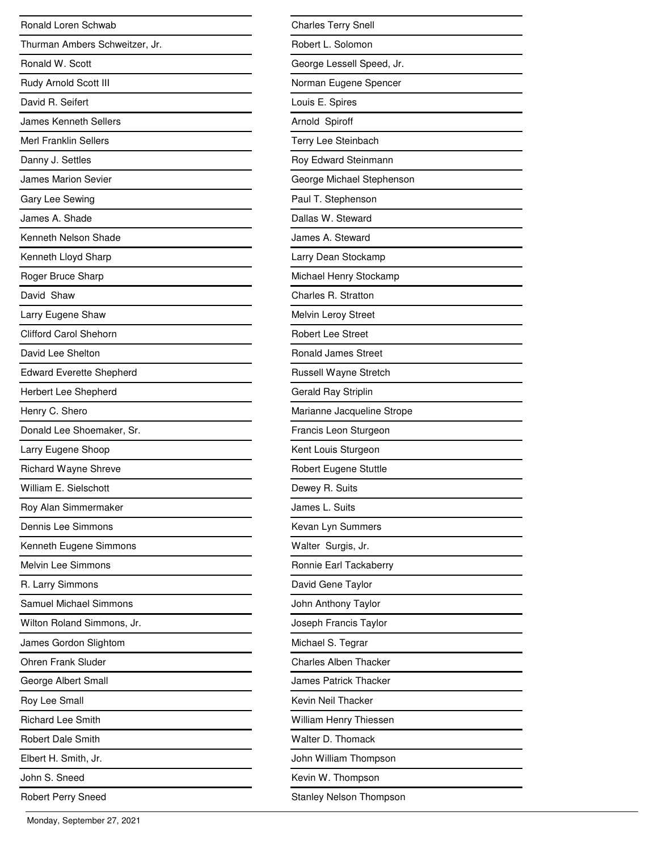| Ronald Loren Schwab             |
|---------------------------------|
| Thurman Ambers Schweitzer, Jr.  |
| Ronald W. Scott                 |
| Rudy Arnold Scott III           |
| David R. Seifert                |
| <b>James Kenneth Sellers</b>    |
| <b>Merl Franklin Sellers</b>    |
| Danny J. Settles                |
| <b>James Marion Sevier</b>      |
| Gary Lee Sewing                 |
| James A. Shade                  |
| Kenneth Nelson Shade            |
| Kenneth Lloyd Sharp             |
| Roger Bruce Sharp               |
| David Shaw                      |
| Larry Eugene Shaw               |
| <b>Clifford Carol Shehorn</b>   |
| David Lee Shelton               |
| <b>Edward Everette Shepherd</b> |
| <b>Herbert Lee Shepherd</b>     |
| Henry C. Shero                  |
| Donald Lee Shoemaker, Sr.       |
| Larry Eugene Shoop              |
| <b>Richard Wayne Shreve</b>     |
| William E. Sielschott           |
| Roy Alan Simmermaker            |
| Dennis Lee Simmons              |
| Kenneth Eugene Simmons          |
| Melvin Lee Simmons              |
| R. Larry Simmons                |
| <b>Samuel Michael Simmons</b>   |
| Wilton Roland Simmons, Jr.      |
| James Gordon Slightom           |
| <b>Ohren Frank Sluder</b>       |
| George Albert Small             |
| Roy Lee Small                   |
| <b>Richard Lee Smith</b>        |
| <b>Robert Dale Smith</b>        |
| Elbert H. Smith, Jr.            |
| John S. Sneed                   |
| <b>Robert Perry Sneed</b>       |

| <b>Charles Terry Snell</b>     |
|--------------------------------|
| Robert L. Solomon              |
| George Lessell Speed, Jr.      |
| Norman Eugene Spencer          |
| Louis E. Spires                |
| Arnold Spiroff                 |
| Terry Lee Steinbach            |
| Roy Edward Steinmann           |
| George Michael Stephenson      |
| Paul T. Stephenson             |
| Dallas W. Steward              |
| James A. Steward               |
| Larry Dean Stockamp            |
| Michael Henry Stockamp         |
| Charles R. Stratton            |
| Melvin Leroy Street            |
| <b>Robert Lee Street</b>       |
| <b>Ronald James Street</b>     |
| <b>Russell Wayne Stretch</b>   |
| Gerald Ray Striplin            |
| Marianne Jacqueline Strope     |
| Francis Leon Sturgeon          |
| Kent Louis Sturgeon            |
| Robert Eugene Stuttle          |
| Dewey R. Suits                 |
| James L. Suits                 |
| Kevan Lyn Summers              |
| Walter Surgis, Jr.             |
| Ronnie Earl Tackaberry         |
| David Gene Taylor              |
| John Anthony Taylor            |
| Joseph Francis Taylor          |
| Michael S. Tegrar              |
| <b>Charles Alben Thacker</b>   |
| James Patrick Thacker          |
| Kevin Neil Thacker             |
| William Henry Thiessen         |
| Walter D. Thomack              |
| John William Thompson          |
| Kevin W. Thompson              |
| <b>Stanley Nelson Thompson</b> |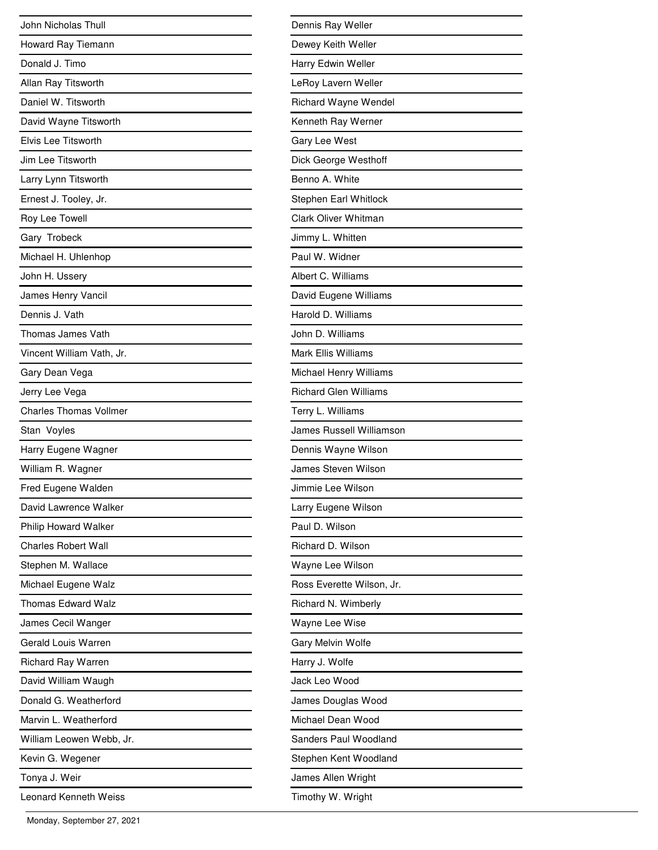| John Nicholas Thull           |
|-------------------------------|
| Howard Ray Tiemann            |
| Donald J. Timo                |
| Allan Ray Titsworth           |
| Daniel W. Titsworth           |
| David Wayne Titsworth         |
| Elvis Lee Titsworth           |
| Jim Lee Titsworth             |
| Larry Lynn Titsworth          |
| Ernest J. Tooley, Jr.         |
| Roy Lee Towell                |
| Gary Trobeck                  |
| Michael H. Uhlenhop           |
| John H. Ussery                |
| James Henry Vancil            |
| Dennis J. Vath                |
| Thomas James Vath             |
| Vincent William Vath, Jr.     |
| Gary Dean Vega                |
| Jerry Lee Vega                |
| <b>Charles Thomas Vollmer</b> |
| Stan Voyles                   |
| Harry Eugene Wagner           |
| William R. Wagner             |
| Fred Eugene Walden            |
| David Lawrence Walker         |
| Philip Howard Walker          |
| <b>Charles Robert Wall</b>    |
| Stephen M. Wallace            |
| Michael Eugene Walz           |
| <b>Thomas Edward Walz</b>     |
| James Cecil Wanger            |
| Gerald Louis Warren           |
| <b>Richard Ray Warren</b>     |
| David William Waugh           |
| Donald G. Weatherford         |
| Marvin L. Weatherford         |
| William Leowen Webb, Jr.      |
| Kevin G. Wegener              |
| Tonya J. Weir                 |
| <b>Leonard Kenneth Weiss</b>  |

| Dennis Ray Weller            |
|------------------------------|
| Dewey Keith Weller           |
| Harry Edwin Weller           |
| LeRoy Lavern Weller          |
| Richard Wayne Wendel         |
| Kenneth Ray Werner           |
| Gary Lee West                |
| Dick George Westhoff         |
| Benno A. White               |
| Stephen Earl Whitlock        |
| Clark Oliver Whitman         |
| Jimmy L. Whitten             |
| Paul W. Widner               |
| Albert C. Williams           |
| David Eugene Williams        |
| Harold D. Williams           |
| John D. Williams             |
| <b>Mark Ellis Williams</b>   |
| Michael Henry Williams       |
| <b>Richard Glen Williams</b> |
| Terry L. Williams            |
| James Russell Williamson     |
| Dennis Wayne Wilson          |
| James Steven Wilson          |
| Jimmie Lee Wilson            |
| Larry Eugene Wilson          |
| Paul D. Wilson               |
| Richard D. Wilson            |
| Wayne Lee Wilson             |
| Ross Everette Wilson, Jr.    |
| Richard N. Wimberly          |
| Wayne Lee Wise               |
| Gary Melvin Wolfe            |
| Harry J. Wolfe               |
| Jack Leo Wood                |
| James Douglas Wood           |
| Michael Dean Wood            |
| Sanders Paul Woodland        |
| Stephen Kent Woodland        |
| James Allen Wright           |
| Timothy W. Wright            |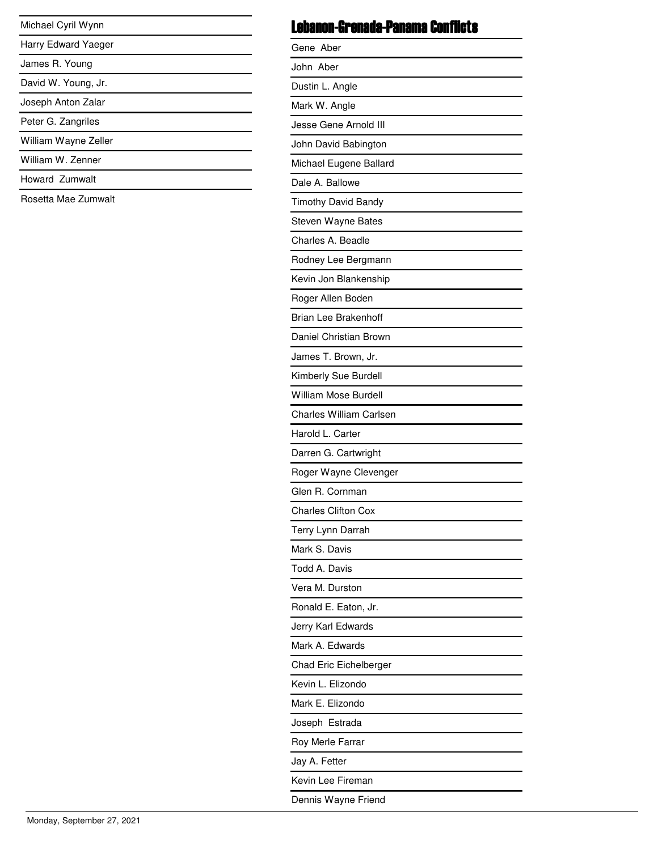| Michael Cyril Wynn   |
|----------------------|
| Harry Edward Yaeger  |
| James R. Young       |
| David W. Young, Jr.  |
| Joseph Anton Zalar   |
| Peter G. Zangriles   |
| William Wayne Zeller |
| William W. Zenner    |

<u>expertise</u> L  $\overline{\phantom{0}}$ 

#### Howard Zumwalt

Rosetta Mae Zumwalt

### Lebanon-Grenada-Panama Conflicts

| Gene Aber                      |
|--------------------------------|
| John Aber                      |
| Dustin L. Angle                |
| Mark W. Angle                  |
| Jesse Gene Arnold III          |
| John David Babington           |
| Michael Eugene Ballard         |
| Dale A. Ballowe                |
| <b>Timothy David Bandy</b>     |
| Steven Wayne Bates             |
| Charles A. Beadle              |
| Rodney Lee Bergmann            |
| Kevin Jon Blankenship          |
| Roger Allen Boden              |
| <b>Brian Lee Brakenhoff</b>    |
| Daniel Christian Brown         |
| James T. Brown, Jr.            |
| Kimberly Sue Burdell           |
| <b>William Mose Burdell</b>    |
| <b>Charles William Carlsen</b> |
| Harold L. Carter               |
| Darren G. Cartwright           |
| Roger Wayne Clevenger          |
| Glen R. Cornman                |
| <b>Charles Clifton Cox</b>     |
| Terry Lynn Darrah              |
| Mark S. Davis                  |
| Todd A. Davis                  |
| Vera M. Durston                |
| Ronald E. Eaton, Jr.           |
| Jerry Karl Edwards             |
| Mark A. Edwards                |
| Chad Eric Eichelberger         |
| Kevin L. Elizondo              |
| Mark E. Elizondo               |
| Joseph Estrada                 |
| Roy Merle Farrar               |
| Jay A. Fetter                  |
| Kevin Lee Fireman              |
| Dennis Wayne Friend            |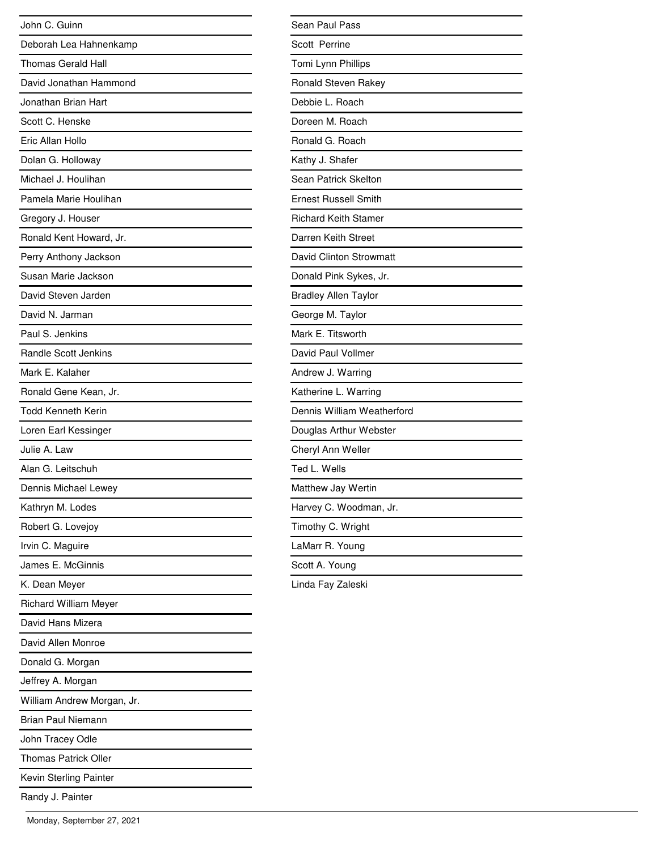| John C. Guinn                |
|------------------------------|
| Deborah Lea Hahnenkamp       |
| <b>Thomas Gerald Hall</b>    |
| David Jonathan Hammond       |
| Jonathan Brian Hart          |
| Scott C. Henske              |
| Eric Allan Hollo             |
| Dolan G. Holloway            |
| Michael J. Houlihan          |
| Pamela Marie Houlihan        |
| Gregory J. Houser            |
| Ronald Kent Howard, Jr.      |
| Perry Anthony Jackson        |
| Susan Marie Jackson          |
| David Steven Jarden          |
| David N. Jarman              |
| Paul S. Jenkins              |
| <b>Randle Scott Jenkins</b>  |
| Mark E. Kalaher              |
| Ronald Gene Kean, Jr.        |
| <b>Todd Kenneth Kerin</b>    |
| Loren Earl Kessinger         |
| Julie A. Law                 |
| Alan G. Leitschuh            |
| Dennis Michael Lewey         |
| Kathryn M. Lodes             |
| Robert G. Lovejoy            |
| Irvin C. Maguire             |
| James E. McGinnis            |
| K. Dean Meyer                |
| <b>Richard William Meyer</b> |
| David Hans Mizera            |
| David Allen Monroe           |
| Donald G. Morgan             |
| Jeffrey A. Morgan            |
| William Andrew Morgan, Jr.   |
| <b>Brian Paul Niemann</b>    |
| John Tracey Odle             |
| <b>Thomas Patrick Oller</b>  |
| Kevin Sterling Painter       |
| Randy J. Painter             |

| Sean Paul Pass              |
|-----------------------------|
| Scott Perrine               |
| Tomi Lynn Phillips          |
| Ronald Steven Rakey         |
| Debbie L. Roach             |
| Doreen M. Roach             |
| Ronald G. Roach             |
| Kathy J. Shafer             |
| Sean Patrick Skelton        |
| <b>Ernest Russell Smith</b> |
| <b>Richard Keith Stamer</b> |
| Darren Keith Street         |
| David Clinton Strowmatt     |
| Donald Pink Sykes, Jr.      |
| <b>Bradley Allen Taylor</b> |
| George M. Taylor            |
| Mark E. Titsworth           |
| David Paul Vollmer          |
| Andrew J. Warring           |
| Katherine L. Warring        |
| Dennis William Weatherford  |
| Douglas Arthur Webster      |
| Cheryl Ann Weller           |
| Ted L. Wells                |
| Matthew Jay Wertin          |
| Harvey C. Woodman, Jr.      |
| Timothy C. Wright           |
| LaMarr R. Young             |
| Scott A. Young              |
| Linda Fay Zaleski           |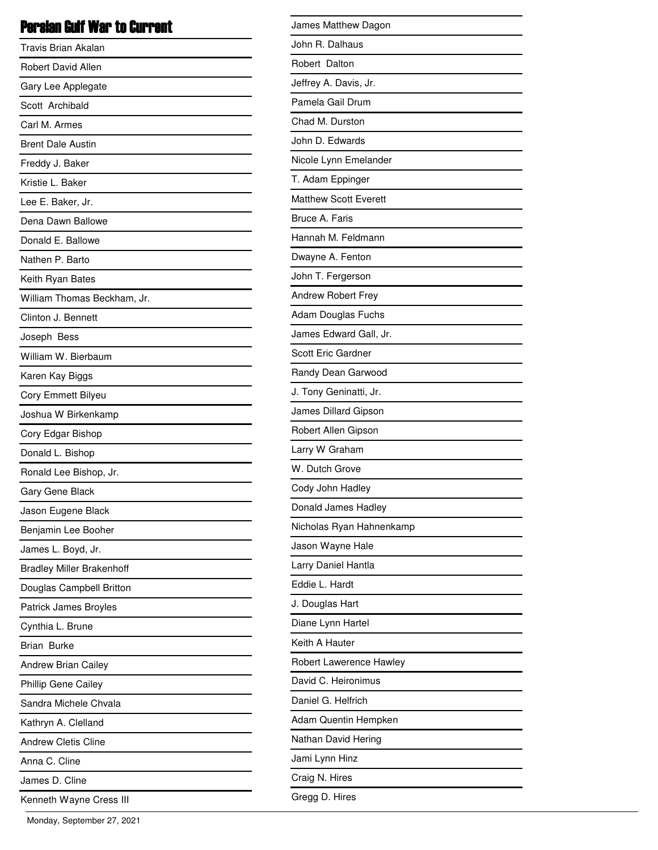# Persian Gulf War to Current

| Travis Brian Akalan              |
|----------------------------------|
| <b>Robert David Allen</b>        |
| Gary Lee Applegate               |
| Scott Archibald                  |
| Carl M. Armes                    |
| <b>Brent Dale Austin</b>         |
| Freddy J. Baker                  |
| Kristie L. Baker                 |
| Lee E. Baker, Jr.                |
| Dena Dawn Ballowe                |
| Donald E. Ballowe                |
| Nathen P. Barto                  |
| Keith Ryan Bates                 |
| William Thomas Beckham, Jr.      |
| Clinton J. Bennett               |
| Joseph Bess                      |
| William W. Bierbaum              |
| Karen Kay Biggs                  |
| Cory Emmett Bilyeu               |
| Joshua W Birkenkamp              |
| Cory Edgar Bishop                |
| Donald L. Bishop                 |
| Ronald Lee Bishop, Jr.           |
| Gary Gene Black                  |
| Jason Eugene Black               |
| Benjamin Lee Booher              |
| James L. Boyd, Jr.               |
| <b>Bradley Miller Brakenhoff</b> |
| Douglas Campbell Britton         |
| Patrick James Broyles            |
| Cynthia L. Brune                 |
| <b>Brian Burke</b>               |
| <b>Andrew Brian Cailey</b>       |
| Phillip Gene Cailey              |
| Sandra Michele Chvala            |
| Kathryn A. Clelland              |
| <b>Andrew Cletis Cline</b>       |
| Anna C. Cline                    |
| James D. Cline                   |
| Kenneth Wayne Cress III          |

| James Matthew Dagon          |
|------------------------------|
| John R. Dalhaus              |
| Robert Dalton                |
| Jeffrey A. Davis, Jr.        |
| Pamela Gail Drum             |
| Chad M. Durston              |
| John D. Edwards              |
| Nicole Lynn Emelander        |
| T. Adam Eppinger             |
| <b>Matthew Scott Everett</b> |
| Bruce A. Faris               |
| Hannah M. Feldmann           |
| Dwayne A. Fenton             |
| John T. Fergerson            |
| Andrew Robert Frey           |
| Adam Douglas Fuchs           |
| James Edward Gall, Jr.       |
| <b>Scott Eric Gardner</b>    |
| Randy Dean Garwood           |
| J. Tony Geninatti, Jr.       |
| James Dillard Gipson         |
| Robert Allen Gipson          |
| Larry W Graham               |
| W. Dutch Grove               |
| Cody John Hadley             |
| Donald James Hadley          |
| Nicholas Ryan Hahnenkamp     |
| Jason Wayne Hale             |
| Larry Daniel Hantla          |
| Eddie L. Hardt               |
| J. Douglas Hart              |
| Diane Lynn Hartel            |
| Keith A Hauter               |
| Robert Lawerence Hawley      |
| David C. Heironimus          |
| Daniel G. Helfrich           |
| Adam Quentin Hempken         |
| Nathan David Hering          |
| Jami Lynn Hinz               |
| Craig N. Hires               |
| Gregg D. Hires               |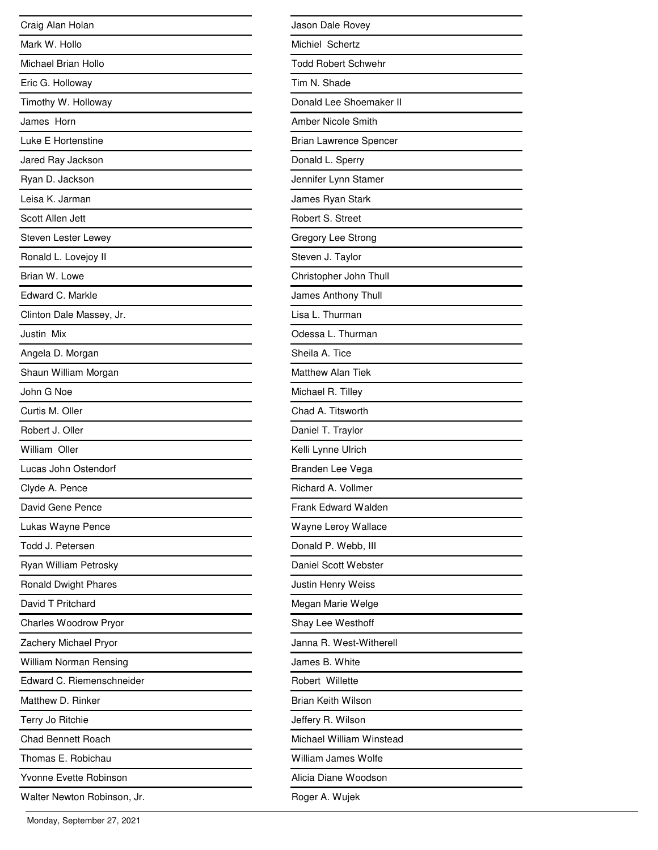| Craig Alan Holan            |
|-----------------------------|
| Mark W. Hollo               |
| Michael Brian Hollo         |
| Eric G. Holloway            |
| Timothy W. Holloway         |
| James Horn                  |
| Luke E Hortenstine          |
| Jared Ray Jackson           |
| Ryan D. Jackson             |
| Leisa K. Jarman             |
| Scott Allen Jett            |
| Steven Lester Lewey         |
| Ronald L. Lovejoy II        |
| Brian W. Lowe               |
| Edward C. Markle            |
| Clinton Dale Massey, Jr.    |
| Justin Mix                  |
| Angela D. Morgan            |
| Shaun William Morgan        |
| John G Noe                  |
| Curtis M. Oller             |
| Robert J. Oller             |
| William Oller               |
| Lucas John Ostendorf        |
| Clyde A. Pence              |
| David Gene Pence            |
| Lukas Wayne Pence           |
| Todd J. Petersen            |
| Ryan William Petrosky       |
| <b>Ronald Dwight Phares</b> |
| David T Pritchard           |
| Charles Woodrow Pryor       |
| Zachery Michael Pryor       |
| William Norman Rensing      |
| Edward C. Riemenschneider   |
| Matthew D. Rinker           |
| Terry Jo Ritchie            |
| <b>Chad Bennett Roach</b>   |
| Thomas E. Robichau          |
| Yvonne Evette Robinson      |
| Walter Newton Robinson, Jr. |

| Jason Dale Rovey              |
|-------------------------------|
| Michiel Schertz               |
| <b>Todd Robert Schwehr</b>    |
| Tim N. Shade                  |
| Donald Lee Shoemaker II       |
| Amber Nicole Smith            |
| <b>Brian Lawrence Spencer</b> |
| Donald L. Sperry              |
| Jennifer Lynn Stamer          |
| James Ryan Stark              |
| Robert S. Street              |
| Gregory Lee Strong            |
| Steven J. Taylor              |
| Christopher John Thull        |
| James Anthony Thull           |
| Lisa L. Thurman               |
| Odessa L. Thurman             |
| Sheila A. Tice                |
| <b>Matthew Alan Tiek</b>      |
| Michael R. Tilley             |
| Chad A. Titsworth             |
| Daniel T. Traylor             |
| Kelli Lynne Ulrich            |
| Branden Lee Vega              |
| Richard A. Vollmer            |
| Frank Edward Walden           |
| Wayne Leroy Wallace           |
| Donald P. Webb, III           |
| Daniel Scott Webster          |
| Justin Henry Weiss            |
| Megan Marie Welge             |
| Shay Lee Westhoff             |
| Janna R. West-Witherell       |
| James B. White                |
| Robert Willette               |
| <b>Brian Keith Wilson</b>     |
| Jeffery R. Wilson             |
| Michael William Winstead      |
| William James Wolfe           |
| Alicia Diane Woodson          |
| Roger A. Wujek                |